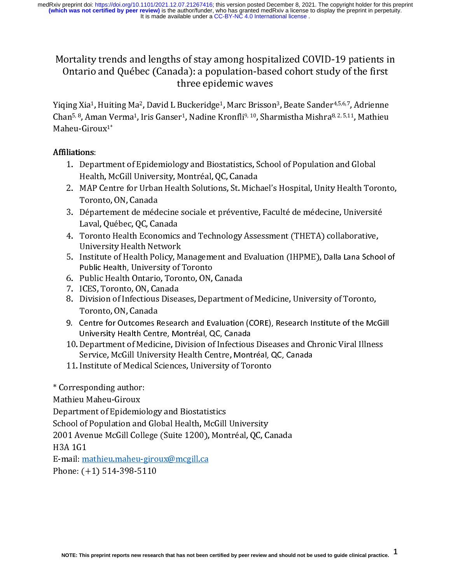### Mortality trends and lengths of stay among hospitalized COVID-19 patients in Ontario and Québec (Canada): a population-based cohort study of the first three epidemic waves

 $\begin{bmatrix} 1 \\ 1 \\ 2 \end{bmatrix}$  $\frac{1}{1}$ Yiqing Xia<sup>1</sup>, Huiting Ma<sup>2</sup>, David L Buckeridge<sup>1</sup>, Marc Brisson<sup>3</sup>, Beate Sander<sup>4,5,6,7</sup>, Adrienne<br>Chan<sup>5, 8</sup>, Aman Verma<sup>1</sup>, Iris Ganser<sup>1</sup>, Nadine Kronfli<sup>9, 10</sup>, Sharmistha Mishra<sup>8, 2, 5,11</sup>, Mathieu<br>Maheu-Giroux<sup>1</sup> Chan%, Aman Verma4, Iris Ganser4, Nadine Kronfli% 10, Sharmistha Mishra% 2, 5,11, Mathieu<br>Maheu-Giroux<sup>1\*</sup><br>1. Department of Epidemiology and Biostatistics. School of Population and Global

# $\overline{a}$

- Maheu-Giroux<br>**Affiliations**:<br>1. Departme<br>Health M Affiliations:<br>1. Depa<br>Healt<br>2. MAP<br>Toro
	- 1. Health, McGill University, Montréal, QC, Canada<br>2. MAP Centre for Urban Health Solutions, St. Michael's Hospital, Unity Health Tor<br>3. Département de médecine sociale et préventive. Faculté de médecine. Universit MAP Centre for Urban Health Solutions, St. Mich<br>Toronto, ON, Canada<br>Département de médecine sociale et préventive<br>Laval. Ouébec. OC. Canada
	- 2. Toronto, ON, Canada<br>2. Département de médecine sociale et préventive, Faculté de médecine, Université<br>2. Laval, Québec, QC, Canada<br>2. Toronto Health Economics and Technology Assessment (THETA) collaborative,
	- Laval, Québec, QC, Canada<br>Toronto Health Economics<br>University Health Network 3. Laval, Québec, QC, Canada<br>3. Toronto Health Economics and Technology Assessment (THETA) collaborative,<br>3. Institute of Health Policy, Management and Evaluation (IHPME), Dalla Lana Schoo Toronto Health Economics<br>University Health Network<br>Institute of Health Policy, N<br>Public Health, University of
	- 4. University Health Network<br>5. Institute of Health Policy, Management and Evaluation (IHPME), Dalla Lana Scho<br>6. Public Health Ontario, Toronto, ON, Canada<br>6. Public Health Ontario, Toronto, ON, Canada Institute of Health Policy, M<br>Public Health, University of<br>Public Health Ontario, Toro<br>ICES, Toronto, ON, Canada
	-
	-
	- Public Health Ontario, Toronto, ON,<br>ICES, Toronto, ON, Canada<br>Division of Infectious Diseases, Depa<br>Toronto, ON, Canada<br>Centre for Outcomes Research and Ev<br>University Health Centre, Montréal, Q<br>Department of Medicine, Divi F. ICES, Toronto, ON, Canada<br>8. Division of Infectious Diseases, Department<br>Toronto, ON, Canada<br>9. Centre for Outcomes Research and Evaluation 8. Division of Infectious Disea<br>Toronto, ON, Canada<br>9. Centre for Outcomes Resear<br>University Health Centre, Me
	- Public Health, University of Toronto<br>6. Public Health Ontario, Toronto, ON, Canada<br>7. ICES, Toronto, ON, Canada<br>8. Division of Infectious Diseases, Department of Medicine, University of Toronto,<br>7oronto, ON, Canada<br>9. Cent 8. Toronto, ON, Canada<br>1. Centre for Outcomes Research and Evaluation (CORE), Research Institute of the McGill<br>10. Department of Medicine, Division of Infectious Diseases and Chronic Viral Illness University Health Centre, Montréal, QC, Canada
- University Health Centre, Montréal, QC, Canada<br>10. Department of Medicine, Division of Infectious Diseases and Chronic Viral Illness<br>Service, McGill University Health Centre, Montréal, QC, Canada<br>11. Institute of Medical S Department of Medicine, Division of Infectious<br>Service, McGill University Health Centre, Mont<br>Institute of Medical Sciences, University of Tor<br>Institute of Medical Sciences, University of Tor<br>sponding author:<br>u Maheu-Girou Service, McGill University Health Centre, Montréal, QC, Canada<br>11. Institute of Medical Sciences, University of Toronto<br>\* Corresponding author:
	-

 $\frac{1}{2}$ 

11. Institute of Commissions, University of Toronto<br>Institute of Medical Science<br>Sciences, University of Toronto<br>Institute of Medical Sciences, University of Toronto<br>Institute of Toronto Sciences, University of Toronto<br>Ins Mathieu Maheu-Giroux<br>Department of Epidemio<br>School of Population and<br>2001 Avenue McGill Colle

Firstitute of Medical Sciences, University of Toronto<br>Sponding author:<br>u Maheu-Giroux<br>ment of Epidemiology and Biostatistics<br>of Population and Global Health, McGill University<br>venue McGill College (Suite 1200), Montréal, Q Department of Epidemi<br>School of Population an<br>2001 Avenue McGill Col<br>H3A 1G1 School of Population and Global Health, McGill University<br>2001 Avenue McGill College (Suite 1200), Montréal, QC, C<br>H3A 1G1 2001 Avenue McGill College (Suite 1200), Montréal, QC, Canada

 $E$ -mail mathieu maheu-giroux@mcgill.ca -------<br>E-mail: <u>m</u><br>Phone: (+

Phone: (+1) 514-398-5110 Phone: (+1) 514-398-5110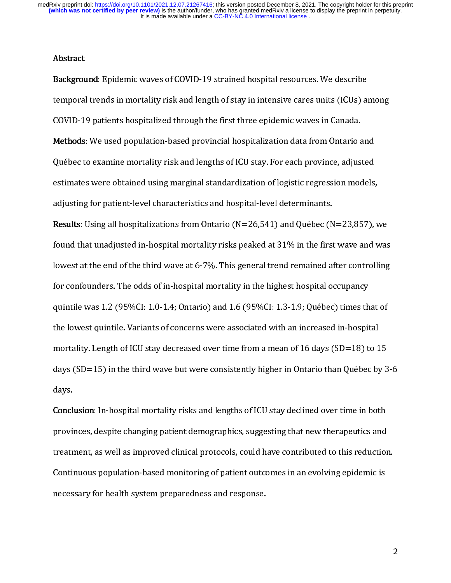### Abstract

 Background: Epidemic waves of COVID-19 strained hospital resources. We describe<br>temporal trends in mortality risk and length of stay in intensive cares units (ICUs) among<br>COVID-19 patients hospitalized through the first th **Methods:** We used population-based provincial hospitalization data from Ontario and Québec to examine mortality risk and lengths of ICU stay. For each province, adjusted Methods: We used population-based provincial hospitalization data from Ontario and<br>Québec to examine mortality risk and lengths of ICU stay. For each province, adjusted<br>estimates were obtained using marginal standardizatio estimates were obtained using marginal standardization of logistic regression models,<br>adjusting for patient-level characteristics and hospital-level determinants. estimates were obtained using the standardinary adjusting for patient-level characteristics and hospital-level determinants.<br>Results: Using all hospitalizations from Ontario (N=26,541) and Québec (N=23,857), v

Results: Using all hospitalizations from Ontario (N=26,541) and Québec (N<br>found that unadjusted in-hospital mortality risks peaked at 31% in the first Results: Using an hospitalizations from Ontario (N=20,541) and Québec (N=25,657), we<br>found that unadjusted in-hospital mortality risks peaked at 31% in the first wave and was<br>lowest at the end of the third wave at 6-7%. T found that unadjusted in-hospital mortality risks peaked at 31% in the first wave and was<br>lowest at the end of the third wave at 6-7%. This general trend remained after controlling<br>for confounders. The odds of in-hospital lowest at the end of the third wave at the thighest hospital occupancy.<br>1.2 (95%CI: 1.0-1.4; Ontario) and 1.6 (95%CI: 1.3-1.9; Québec) times that of for confounding one of the ountile was 1.2 (95%CI: 1.0-1.4; Ontario) and 1.6 (95%CI: 1.3-1.9; Québec) times th<br>the lowest quintile. Variants of concerns were associated with an increased in-hospit quintile was 1.2 (95%CI: 1.0-1.9) and 1.2 (95%CI: 1.0-1.9) and 1.0<br>the lowest quintile. Variants of concerns were associated with an increased in-hospital<br>mortality. Length of ICU stay decreased over time from a mean of 16 the lowest quintile. Variants of concerns were associated with an increased with an increased with an increase<br>mortality. Length of ICU stay decreased over time from a mean of 16 days (SD=18) to 1<br>days (SD=15) in the third days (SD=15) in the third wave but were consistently higher in Ontario than Québec by 3-6<br>days. days.<br>days.<br>**Conclusion**: In-hospital mortality risks and lengths of ICU stay declined over time in both

any 11<br>Concl<br>provi: conclusion: In-hospital mortality risks and lengths of ICU stay declined over time in both<br>provinces, despite changing patient demographics, suggesting that new therapeutics and<br>treatment, as well as improved clinical prot provinces, despite changing patient demographics, suggesting that new therappeutic and<br>treatment, as well as improved clinical protocols, could have contributed to this reductior<br>Continuous population-based monitoring of p Continuous population-based monitoring of patient outcomes in an evolving epidemic is necessary for health system preparedness and response. necessary for health system prepared in the system prepared in the system prepared in the system prepared in the system of the system prepared in the system prepared in the system prepared in the system prepared in the sys

 $\overline{2}$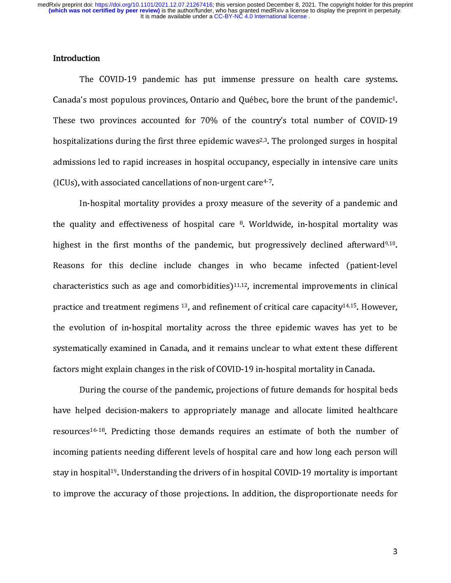$\begin{bmatrix} 1 \\ 1 \\ 2 \end{bmatrix}$ Introduction<br>The COVID-19 pandemic has put immense pressure on health care systems.<br>Canada's most populous provinces, Ontario and Québec, bore the brunt of the pandemic<sup>1</sup>. These two provinces accounted for 70% of the country's total number of COVID-19 Canada's most populous provinces, Ontario and Québec, bore the brunt of the pandemic<sup>1</sup>.<br>These two provinces accounted for 70% of the country's total number of COVID-19<br>hospitalizations during the first three epidemic wave thespitalizations during the first three epidemic waves<sup>2,3</sup>. The prolonged surges in hospital<br>admissions led to rapid increases in hospital occupancy, especially in intensive care units admissions led to rapid increases in hospital occupancy, especially in intensive care units<br>(ICUs), with associated cancellations of non-urgent care<sup>4-7</sup>.

In-hospital mortality provides a proxy measure of the severity of a pandemic and (ICUs), with associated cancellations of non-urgent care<sup>47</sup>.<br>In-hospital mortality provides a proxy measure of<br>the quality and effectiveness of hospital care <sup>8</sup>. Worldy ality and effectiveness of hospital care  $\frac{8}{3}$ . Worldwide, in-hospital mortality was<br>t in the first months of the pandemic, but progressively declined afterward<sup>9,10</sup>. the quality and effectiveness of hospital care 8. Worldwide, in-hospital mortality was<br>highest in the first months of the pandemic, but progressively declined afterward<sup>9,10</sup>.<br>Reasons for this decline include changes in wh highest in the first months of the pandemic, but progressively declined afterward<sup>9,10</sup>.<br>Reasons for this decline include changes in who became infected (patient-level<br>characteristics such as age and comorbidities)<sup>11,12</sup>, characteristics such as age and comorbidities)<sup>11,12</sup>, incremental improvements in clinical<br>practice and treatment regimens<sup>13</sup>, and refinement of critical care capacity<sup>14,15</sup>. However, the evolution of in-hospital mortality across the three epidemic waves has yet to be practice and treatment regimens 13, and refinement of critical care capacity14,15. However,<br>the evolution of in-hospital mortality across the three epidemic waves has yet to be<br>systematically examined in Canada, and it rem the evolution of in-hospital mortality across the three epidemics waves had yet to be<br>systematically examined in Canada, and it remains unclear to what extent these different<br>factors might explain changes in the risk of CO factors might explain changes in the risk of COVID-19 in-hospital mortality in Canada.<br>During the course of the pandemic, projections of future demands for hospital beds

Factors might explain changes in the risk of the set in the speak more pairs. During the course of the pandemic, projections of future demands for hospital have helped decision-makers to appropriately manage and allocate l elped decision-makers to appropriately manage and allocate limited healthcare<br>ces<sup>16-18</sup>. Predicting those demands requires an estimate of both the number of resources<sup>16-18</sup>. Predicting those demands requires an estimate of both the number of incoming patients needing different levels of hospital care and how long each person will stay in hospital<sup>19</sup>. Understanding the drivers of in hospital COVID-19 mortality is important to improve the accuracy of those projections. In addition, the disproportionate needs for to improve the accuracy of the accuracy of the disproportions. In addition, the disproportion, the disproportion<br>The disproportion, the disproportion of the disproportion of the disproportion, the disproportion of the disp

 $\overline{3}$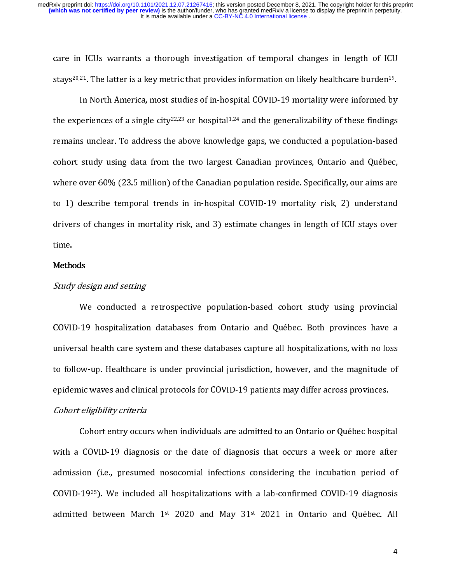care in ICUs warrants a thorough investigation of temporal changes in length of ICU<br>stays<sup>20,21</sup>. The latter is a key metric that provides information on likely healthcare burden<sup>19</sup>.<br>In North America, most studies of in-h

cstrum stays20,24. The latter is a key metric that provides information on likely healthcare burden49.<br>In North America, most studies of in-hospital COVID-19 mortality were informed by<br>the experiences of a single city<sup>22,23</sup> or h In Text of a single city  $22,23$  or hospital  $1.24$  and the generalizability of these findings is unclear. To address the above knowledge gaps, we conducted a population-based remains unclear. To address the above knowledge gaps, we conducted a population-based cohort study using data from the two largest Canadian provinces, Ontario and Québec,<br>where over 60% (23.5 million) of the Canadian population reside. Specifically, our aims are concert study along and from the two largest Canadian persisters, Checker and Quebec,<br>where over 60% (23.5 million) of the Canadian population reside. Specifically, our aims are<br>to 1) describe temporal trends in in-hospita to 1) describe temporal trends in in-hospital COVID-19 mortality risk, 2) understand<br>drivers of changes in mortality risk, and 3) estimate changes in length of ICU stays over drivers of changes in mortality risk, and 3) estimate changes in length of ICU stays over<br>time. drivers of changes in mortality risk, and 3) estimate changes in length of ICU stays over<br>time.<br>Methods

## 11111<br>Metho<br>*Study* Methods

Study design and setting<br>We conducted a<br>COVID-19 hospitalizatio We constant the conception of population and conduct comes mange provincing.<br>19 hospitalization-databases from Ontario and Québec. Both provinces have a<br>sal health care system and these databases capture all hospitalizatio universal health care system and these databases capture all hospitalizations, with no loss<br>to follow-up. Healthcare is under provincial iurisdiction. however, and the magnitude of to follow-up. Healthcare is under provincial jurisdiction, however, and the magnitude of<br>epidemic waves and clinical protocols for COVID-19 patients may differ across provinces. to follow-up. Healthcare is under provincial, jurisdiction, however, and the magnitude of<br>epidemic waves and clinical protocols for COVID-19 patients may differ across provinces.<br>Cohort eligibility criteria

### Cohort eligibility criteria

Cohort entry occurs when individuals are admitted to an Ontario or Québec hospital with a COVID-19 diagnosis or the date of diagnosis that occurs a week or more after admission (i.e., presumed nosocomial infections considering the incubation period of<br>COVID-19<sup>25</sup>). We included all hospitalizations with a lab-confirmed COVID-19 diagnosis admitted (i.e., presumed all hospitalizations with a lab-confirmed COVID-19 diagnosis<br>admitted between March 1st 2020 and May 31st 2021 in Ontario and Québec. All COVID-19<sup>25</sup>). We included all hospitalizations with a lab-confirmed COVID-19 diagnosis<br>admitted between March 1<sup>st</sup> 2020 and May 31<sup>st</sup> 2021 in Ontario and Québec. All admitted between March 1st 2020 and May 31st 2021 in Ontario and Québec. All  $\frac{1}{4}$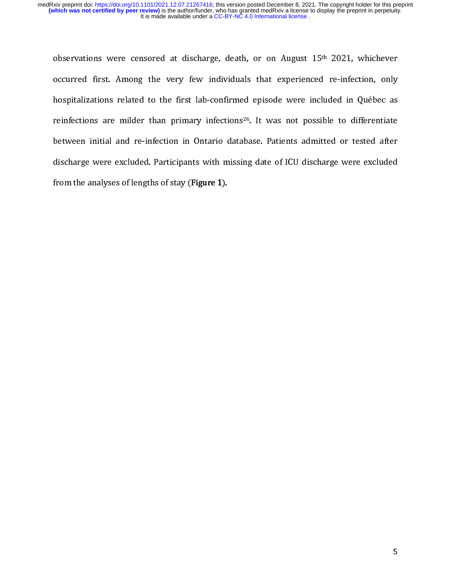cccll<br>l observations were censored at discharge, death, or on August 15<sup>th</sup> 2021, whichever<br>occurred first. Among the very few individuals that experienced re-infection, only<br>hospitalizations related to the first lab-confirmed epi hospitalizations related to the first lab-confirmed episode were included in Québec as<br>reinfections are milder than primary infections<sup>26</sup>. It was not possible to differentiate reinfections are milder than primary infections<sup>26</sup>. It was not possible to differentiate<br>between initial and re-infection in Ontario database. Patients admitted or tested after between initial and re-infection in Ontario database. Patients admitted or tested after discharge were excluded. Participants with missing date of ICU discharge were excluded<br>from the analyses of lengths of stay (Figure 1). discharge were excluded. Participants with missing date of ICU discharge were excluded.<br>From the analyses of lengths of stay (Figure 1). from the analyses of lengths of stay (Figure 1).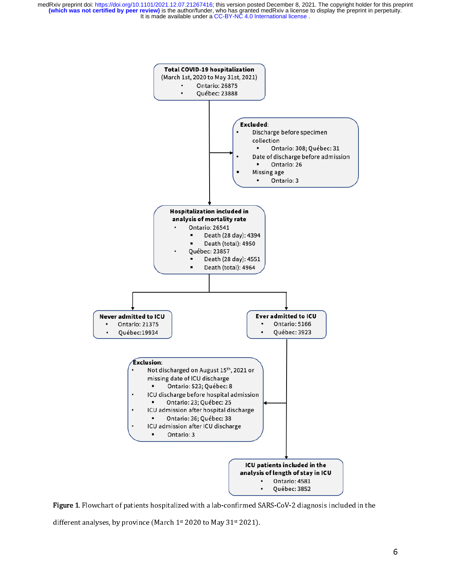

Figure 1. Flowchart of patients hospitalized with a lab-confirmed SARS-CoV-2 diagnosis included in the

different analyses, by province (March 1st 2020 to May 31st 2021).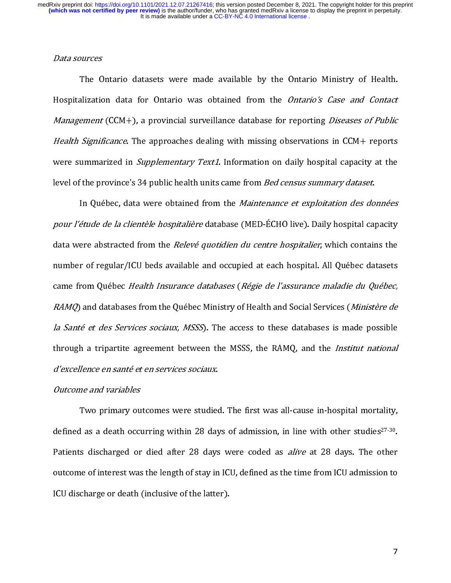### Data sources

 $\begin{array}{c} \n\frac{1}{2} & \frac{1}{2} \\ \n\frac{1}{2} & \frac{1}{2} \\ \n\frac{1}{2} & \frac{1}{2} \\ \n\frac{1}{2} & \frac{1}{2} \\ \n\frac{1}{2} & \frac{1}{2} \\ \n\frac{1}{2} & \frac{1}{2} \\ \n\frac{1}{2} & \frac{1}{2} \\ \n\frac{1}{2} & \frac{1}{2} \\ \n\frac{1}{2} & \frac{1}{2} \\ \n\frac{1}{2} & \frac{1}{2} \\ \n\frac{1}{2} & \frac{1}{2} \\ \n\frac{1}{2} & \frac{1}{$ The Ontario datasets were made available by the Ontario Ministry of Health.<br>Hospitalization data for Ontario was obtained from the *Ontario's Case and Contact*<br>*Management* (CCM+), a provincial surveillance database for re Management (CCM+), a provincial surveillance database for reporting *Diseases of Public*<br>Health Significance. The approaches dealing with missing observations in CCM+ reports Management (CCM+), a provincial surveillance database for reporting Diseases of Public<br>Health Significance. The approaches dealing with missing observations in CCM+ reports<br>were summarized in *Supplementary Text1*. Informa were summarized in *Supplementary Text1*. Information on daily hospital capacity at the level of the province's 34 public health units came from *Bed census summary dataset*.<br>In Ouébec, data were obtained from the *Maintenance et exploitation des données* 

level of the province's 34 public health units came from *bed census summary dataset.*<br>In Québec, data were obtained from the *Maintenance et exploitation des do.*<br>pour *l'étude de la clientèle hospitalière* database (MED-In Québec, data were obtained from the *Maintenance et exploitation des données*<br>ét*ude de la clientèle hospitalière* database (MED-ÉCHO live). Daily hospital capacity<br>ere abstracted from the *Relevé quotidien du centre ho* data were abstracted from the *Relevé quotidien du centre hospitalier*, which contains the<br>number of regular/ICU beds available and occupied at each hospital. All Québec datasets data were abstracted from the *Releve quotidien du centre hospitalier*, which contains the<br>number of regular/ICU beds available and occupied at each hospital. All Québec datasets<br>came from Québec *Health Insurance database* e سال ہے ۔<br>| came from Québec *Health Insurance databases (Régie de l'assurance maladie du Québec,<br>| RAMQ* and databases from the Québec Ministry of Health and Social Services (*Ministère de RAMQ*) and databases from the Québec Ministry of Health and Social Services (*Ministère de*<br>*la Santé et des Services sociaux, MSSS*). The access to these databases is made possible RAMQ) and databases from the Quebec Ministry of Health and Social Services (*Ministère de*<br>*la Santé et des Services sociaux, MSSS*). The access to these databases is made possible<br>through a tripartite agreement between th la Santé et des Services sociaux, MSSS). The access to these databases is made possible<br>through a tripartite agreement between the MSSS, the RAMQ, and the *Institut national*<br>d'excellence en santé et en services sociaux. through a tripartite agreement between the MSSS, the RAMQ, and the Institut national<br>d'excellence en santé et en services sociaux.<br>Outcome and variables d'excellence en santé et en services sociaux.<br>Outcome and variables<br>Two primary outcomes were studied. The first was all-cause in-hospital mortality,

### Outcome and variables

defined as a death occurring within 28 days of admission, in line with other studies<sup>27-30</sup>.<br>Patients discharged or died after 28 days were coded as *alive* at 28 days. The other defined as a death occurring within 28 days of admission, in line with other studies<sup>27-30</sup>.<br>Patients discharged or died after 28 days were coded as *alive* at 28 days. The other<br>outcome of interest was the length of stay outcome of interest was the length of stay in ICU, defined as the time from ICU admission to<br>ICU discharge or death (inclusive of the latter). out come of interest was the length of stay in ICU, admitted as the time from ICU discharge or death (inclusive of the latter). ICU discharge or death (inclusive of the latter).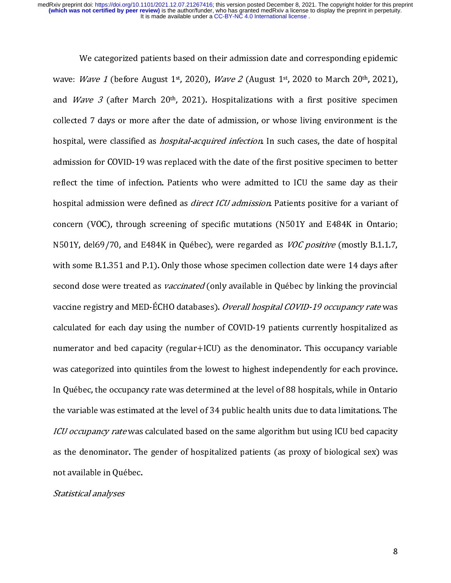We categorized patients based on their admission date and corresponding epidemic<br>wave: *Wave 1* (before August 1<sup>st</sup>, 2020), *Wave 2* (August 1st, 2020 to March 20<sup>th</sup>, 2021), and *Wave 3* (after March 20<sup>th</sup>, 2021). Hospitalizations with a first positive specimen<br>collected 7 days or more after the date of admission, or whose living environment is the and *Wave 3* (after March 20<sup>di</sup>, 2021). Hospitalizations with a first positive speciment<br>collected 7 days or more after the date of admission, or whose living environment is the<br>hospital, were classified as *hospital-acqu* hospital, were classified as *hospital-acquired infection*. In such cases, the date of hospital<br>admission for COVID-19 was replaced with the date of the first positive specimen to better admission for COVID-19 was replaced with the date of the first positive specimen to better<br>reflect the time of infection. Patients who were admitted to ICU the same day as their reflect the time of infection. Patients who were admitted to ICU the same day as their<br>hospital admission were defined as *direct ICU admission*. Patients positive for a variant of hospital admission were defined as *direct ICU admission*. Patients positive for a variant of<br>concern (VOC), through screening of specific mutations (N501Y and E484K in Ontario; hospital admission were defined as *uneet ICU admission*. I adents positive for a variant of<br>concern (VOC), through screening of specific mutations (N501Y and E484K in Ontario;<br>N501Y, del69/70, and E484K in Québec), were r concern (VOC), through screening scrept mutations (NOC) and SOSUY, del69/70, and E484K in Québec), were regarded as *VOC positive* (mostly B.1.1.7, with some B.1.351 and P.1). Only those whose specimen collection date were with some B.1.351 and P.1). Only those whose specimen collection date were 14 days after<br>second dose were treated as *vaccinated* (only available in Québec by linking the provincial with second dose were treated as *vaccinated* (only available in Québec by linking the provincial<br>vaccine registry and MED-ÉCHO databases). *Overall hospital COVID-19 occupancy rate* was second dose were treated as *vaccinated* (only available in Quebec by linking the provincial<br>vaccine registry and MED-ÉCHO databases). *Overall hospital COVID-19 occupancy rate* was<br>calculated for each day using the number calculated for each day using the number of COVID-19 patients currently hospitalized as numerator and bed capacity (regular+ICU) as the denominator. This occupancy variable<br>was categorized into quintiles from the lowest to highest independently for each province. In Québec, the occupancy rate was determined at the level of 88 hospitals, while in Ontario. In Québec, the occupancy rate was determined at the level of 88 hospitals, while in Ontario<br>the variable was estimated at the level of 34 public health units due to data limitations. The In Quebec, the occupancy rate was determined at the level of 34 public health units due to data limitations. The *ICU occupancy rate* was calculated based on the same algorithm but using ICU bed capacity the variable was estimated was extended based on the same algorithm but using ICU bed capacity<br>as the denominator. The gender of hospitalized patients (as proxy of biological sex) was ICU Occupancy rate was calculated based on the same algorithm but using ICU bed capacity<br>as the denominator. The gender of hospitalized patients (as proxy of biological sex) was<br>not available in Québec. as the denominator. The gender of hospitalized patients (as proxy of hospitalize) was<br>not available in Québec.<br>Statistical analyses

## not available in Québec.<br>Statistical analyses Statistical analyses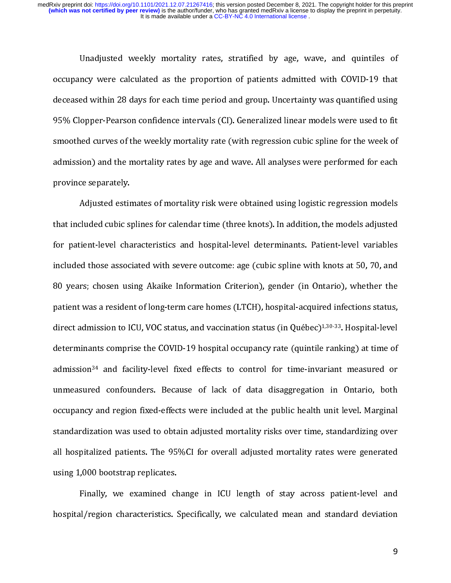( ( ( c )<br>c ) Unadjusted weekly mortality rates, stratified by age, wave, and quintiles of occupancy were calculated as the proportion of patients admitted with COVID-19 that deceased within 28 days for each time period and group. Uncer deceased within 28 days for each time period and group. Uncertainty was quantified using<br>95% Clopper-Pearson confidence intervals (CI). Generalized linear models were used to fit decease of the weekly mortality rate (CI). Generalized linear models were used to fit<br>demodied curves of the weekly mortality rate (with regression cubic spline for the week of smoothed curves of the weekly mortality rate (with regression cubic spline for the week of admission) and the mortality rates by age and wave. All analyses were performed for each<br>province separately.

Adjusted estimates of mortality risk were obtained using logistic regression models that included cubic splines for calendar time (three knots). In addition, the models adjusted that included cubic splines for calendar time (three knots). In addition, the models adjusted<br>for patient-level characteristics and hospital-level determinants. Patient-level variables that included characteristics and hospital-level determinants. Patient-level variables<br>included those associated with severe outcome: age (cubic spline with knots at 50, 70, and included those associated with severe outcome: age (cubic spline with knots at 50, 70, and 80 years; chosen using Akaike Information Criterion), gender (in Ontario), whether the<br>patient was a resident of long-term care homes (LTCH), hospital-acquired infections status, eartient was a resident of long-term care homes (LTCH), hospital-acquired infections status,<br>direct admission to ICU, VOC status, and vaccination status (in Québec)<sup>1,30-33</sup>. Hospital-level patient was a resident of long-term care home (21 cry), hospital and the latter status (and the care homes)<br>direct admission to ICU, VOC status, and vaccination status (in Québec)<sup>1,30-33</sup>. Hospital-level<br>determinants comp determinants comprise the COVID-19 hospital occupancy rate (quintile ranking) at time of<br>admission<sup>34</sup> and facility-level fixed effects to control for time-invariant measured or admission<sup>34</sup> and facility-level fixed effects to control for time-invariant measured or<br>unmeasured confounders. Because of lack of data disaggregation in Ontario, both admission<sup>34</sup> and facility-lever fixed effects to control for time-invariant measured or<br>unmeasured confounders. Because of lack of data disaggregation in Ontario, both<br>occupancy and region fixed-effects were included at t occupancy and region fixed-effects were included at the public health unit level. Marginal<br>standardization was used to obtain adjusted mortality risks over time, standardizing over occupancy and region fixed-effects were included at the public fixed-effects reading over<br>standardization was used to obtain adjusted mortality risks over time, standardizing over<br>all hospitalized patients. The 95%CI for o standardization was used to obtain adjusted the original control mass, standarding over<br>all hospitalized patients. The 95%CI for overall adjusted mortality rates were generated<br>using 1,000 bootstrap replicates. using 1,000 bootstrap replicates.<br>Finally, we examined change in ICU length of stay across patient-level and

using 2,000 bootstramp replantant<br>Finally, we examined ch<br>hospital/region characteristics. Finally, the spital/region characteristics. Specifically, we calculated mean and standard deviation hospital/region characteristics. Specifically, we calculated mean and standard deviation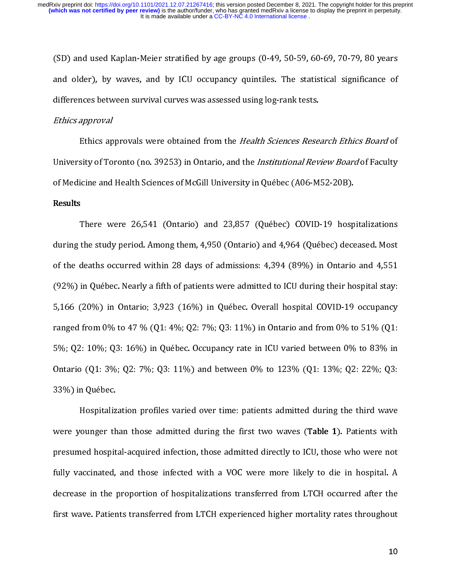( 3 )<br>1<br>1 (SD) and used Kaplan-Meier stratified by age groups (0-49, 50-59, 60-69, 70-79, 80 years<br>and older), by waves, and by ICU occupancy quintiles. The statistical significance of differences between survival curves was assessed using log-rank tests.

### Ethics approval

Ethics approvals were obtained from the Health Sciences Research Ethics Board of University of Toronto (no. 39253) in Ontario, and the *Institutional Review Board* of Faculty of Medicine and Health Sciences of McGill University in Québec (A06-M52-20B).

### Results

There were 26,541 (Ontario) and 23,857 (Québec) COVID-19 hospitalizations during the study period. Among them, 4,950 (Ontario) and 4,964 (Québec) deceased. Most of the deaths occurred within 28 days of admissions: 4,394 (89%) in Ontario and 4,551<br>(92%) in Québec. Nearly a fifth of patients were admitted to ICU during their hospital stay: of the deaths occurred with deaths of the death<br>3,166 (20%) in Ontario; 3,923 (16%) in Québec. Overall hospital COVID-19 occupancy  $(5,166 \text{ } (20\%)$  in Ontario; 3,923  $(16\%)$  in Québec. Overall hospital COVID-19 occupancy<br>ranged from 0% to 47 %  $(Q1: 4\%; Q2: 7\%; Q3: 11\%)$  in Ontario and from 0% to 51%  $(Q1:$ ranged from 0% to 47 % (01: 4%; 02: 7%; 03: 11%) in Ontario and from 0% to 51% (01: 5%; Q2: 10%; Q3: 16%) in Québec. Occupancy rate in ICU varied between 0% to 83% in Ontario (Q1: 3%; Q2: 7%; Q3: 11%) and between 0% to 123% (Q1: 13%; Q2: 22%; Q3:<br>33%) in Ouébec.

Hospitalization profiles varied over time: patients admitted during the third wave were younger than those admitted during the first two waves (Table 1). Patients with Hospitalization profiles varied over time: patients admitted during the time:<br>hounger than those admitted during the first two waves (Table 1). Patients with<br>ned hospital-acquired infection, those admitted directly to ICU, were younger than those admitted during the first two waves (Table 1). Patients with<br>presumed hospital-acquired infection, those admitted directly to ICU, those who were not<br>fully vaccinated, and those infected with a VOC fully vaccinated, and those infected with a VOC were more likely to die in hospital. A<br>decrease in the proportion of hospitalizations transferred from LTCH occurred after the fully vacainated, and these infected with a VOC were more likely to an analysing.<br>decrease in the proportion of hospitalizations transferred from LTCH occurred after the<br>first wave. Patients transferred from LTCH experienc decrease in the proportion of the proportion of the proportion of the proportion of the proportion of the proportion of the proportion of the proportion of the proportion of the proportion of the proportion of the proporti first wave. Patients transferred from LTCH experienced from LTCH experienced higher mortality rates throughout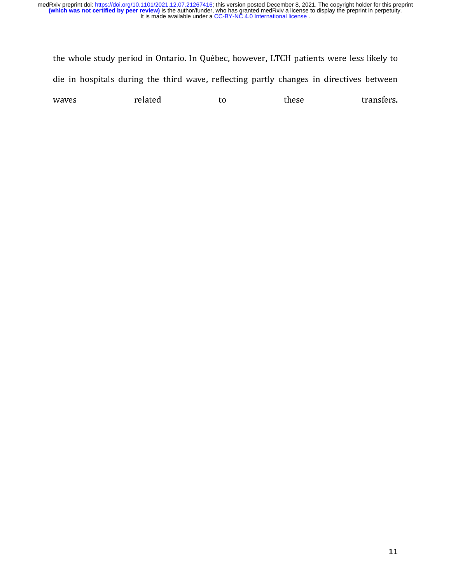t ( the whole study period in Ontario. In Québec, however, LTCH patients were less likely to<br>die in hospitals during the third wave, reflecting partly changes in directives between<br>waves related to these transfers.  $d = \frac{d}{dt}$  are the transfers.<br>
waves related to these transfers.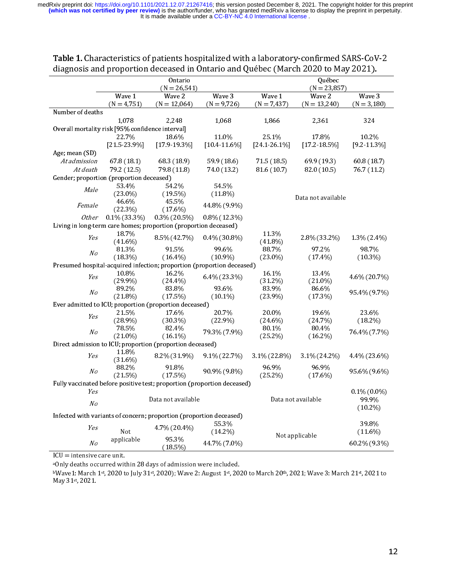| Table 1. Characteristics of patients hospitalized with a laboratory-confirmed SARS-CoV-2<br>diagnosis and proportion deceased in Ontario and Québec (March 2020 to May 2021). |                            |                          |                         |                          |                          |                         |
|-------------------------------------------------------------------------------------------------------------------------------------------------------------------------------|----------------------------|--------------------------|-------------------------|--------------------------|--------------------------|-------------------------|
|                                                                                                                                                                               | Ontario<br>$(N = 26, 541)$ |                          |                         | Québec<br>$(N = 23,857)$ |                          |                         |
|                                                                                                                                                                               | Wave 1<br>$(N = 4, 751)$   | Wave 2<br>$(N = 12,064)$ | Wave 3<br>$(N = 9,726)$ | Wave 1<br>$(N = 7,437)$  | Wave 2<br>$(N = 13,240)$ | Wave 3<br>$(N = 3,180)$ |
| Number of deaths                                                                                                                                                              |                            |                          |                         |                          |                          |                         |
|                                                                                                                                                                               | 1,078                      | 2,248                    | 1,068                   | 1,866                    | 2,361                    | 324                     |
| Overall mortality risk [95% confidence interval]                                                                                                                              |                            |                          |                         |                          |                          |                         |
|                                                                                                                                                                               | 22.7%                      | 186%                     | 11.0%                   | 25.1%                    | 17.8%                    | 102%                    |
|                                                                                                                                                                               | $[21.5.23.9\%]$            | $[179193\%]$             | $[104116\%]$            | $[241261\%]$             | $[172185\%]$             | $[9.2 11.3\%]$          |
| Age; mean (SD)                                                                                                                                                                |                            |                          |                         |                          |                          |                         |
| Atadmission                                                                                                                                                                   | 678 (181)                  | 683 (189)                | 599 (18.6)              | 71.5(18.5)               | 69.9 (19.3)              | 60.8 (187)              |
| At death                                                                                                                                                                      | 79.2 (12.5)                | 798 (118)                | 740 (132)               | 81.6 (10.7)              | 82.0 (10.5)              | 767 (112)               |
| Gender; proportion (proportion deceased)                                                                                                                                      |                            |                          |                         |                          |                          |                         |
| Male                                                                                                                                                                          | 53.4%                      | 542%                     | 54.5%                   |                          |                          |                         |
|                                                                                                                                                                               | $(23.0\%)$                 | $(19.5\%)$               | $(11.8\%)$              | Data not available       |                          |                         |
| Female                                                                                                                                                                        | 46.6%<br>$(22.3\%)$        | 45.5%<br>$(17.6\%)$      | 44 8% (9.9%)            |                          |                          |                         |
| 0ther                                                                                                                                                                         | $0.1\%$ (33.3%)            | $0.3\%$ (20.5%)          | $0.8\%$ (12.3%)         |                          |                          |                         |
| Living in long-term care homes; proportion (proportion deceased)                                                                                                              |                            |                          |                         |                          |                          |                         |
| Yes                                                                                                                                                                           | 18.7%<br>$(41.6\%)$        | 8.5% (42.7%)             | $0.4\%$ (30.8%)         | 11.3%<br>$(41.8\%)$      | 28% (332%)               | 13% (24%)               |
| N <sub>O</sub>                                                                                                                                                                | 81.3%                      | 91.5%                    | 996%                    | 88.7%                    | 97.2%                    | 987%                    |
|                                                                                                                                                                               | $(18.3\%)$                 | $(16.4\%)$               | $(10.9\%)$              | $(23.0\%)$               | $(17.4\%)$               | $(10.3\%)$              |
| Presumed hospital-acquired infection; proportion (proportion deceased)                                                                                                        |                            |                          |                         |                          |                          |                         |
| Yes                                                                                                                                                                           | 10.8%<br>$(299\%)$         | 16.2%<br>$(24.4\%)$      | 6.4% (23.3%)            | 16.1%<br>(312%)          | 13.4%<br>$(21.0\%)$      | 4.6% (20.7%)            |
|                                                                                                                                                                               | 89 2%                      | 83.8%                    | 93.6%                   | 83.9%                    | 86.6%                    |                         |
| No                                                                                                                                                                            | $(21.8\%)$                 | (17.5%)                  | $(10.1\%)$              | $(23.9\%)$               | (17.3%)                  | 95 4% (9.7%)            |
| Ever admitted to ICU; proportion (proportion deceased)                                                                                                                        |                            |                          |                         |                          |                          |                         |
|                                                                                                                                                                               | 21.5%                      | 17.6%                    | 20.7%                   | 20.0%                    | 19.6%                    | 23.6%                   |
| Yes                                                                                                                                                                           | $(28.9\%)$                 | $(30.3\%)$               | (229%)                  | $(24.6\%)$               | (24.7%)                  | $(18.2\%)$              |
|                                                                                                                                                                               | 78.5%                      | 82 4%                    |                         | 80.1%                    | 80 4%                    |                         |
| No                                                                                                                                                                            | $(21.0\%)$                 | $(16.1\%)$               | 79 3% (7 9%)            | $(25.2\%)$               | $(16.2\%)$               | 76.4% (7.7%)            |
| Direct admission to ICU; proportion (proportion deceased)                                                                                                                     |                            |                          |                         |                          |                          |                         |
| Yes                                                                                                                                                                           | 11.8%<br>$(31.6\%)$        | 82% (31.9%)              | $9.1\% (22.7\%)$        | 3.1% (22.8%)             | 3.1% (24.2%)             | 4.4% (23.6%)            |
| N <sub>O</sub>                                                                                                                                                                | 88.2%                      | 918%                     | 90.9% (9.8%)            | 96.9%                    | 96.9%                    | 956% (9.6%)             |
|                                                                                                                                                                               | (21.5%)                    | (17.5%)                  |                         | $(25.2\%)$               | $(17.6\%)$               |                         |
| Fully vaccinated before positive test; proportion (proportion deceased)                                                                                                       |                            |                          |                         |                          |                          |                         |
|                                                                                                                                                                               | Yes                        |                          |                         |                          |                          | $0.1\%$ (0.0%)<br>999%  |
| No                                                                                                                                                                            |                            | Data not available       |                         |                          | Data not available       |                         |
| $(10.2\%)$<br>Infected with variants of concern; proportion (proportion deceased)                                                                                             |                            |                          |                         |                          |                          |                         |
| Yes                                                                                                                                                                           | Not                        | 4 7% (20.4%)             | 553%<br>$(14.2\%)$      | Not applicable           |                          | 398%<br>$(11.6\%)$      |
| No                                                                                                                                                                            | applicable                 | 953%<br>(18.5%)          | 44.7% (7.0%)            |                          |                          | 60.2% (9.3%)            |

### Table 1. Characteristics of patients hospitalized with a laboratory-confirmed SARS-CoV-2 diagnosis and proportion deceased in Ontario and Québec (March 2020 to May 2021).

ICU = intensive care unit.

aOnly deaths occurred within 28 days of admission were included.

bWave1: March 1st, 2020 to July 31st, 2020); Wave 2: August 1st, 2020 to March 20th, 2021; Wave 3: March 21st, 2021 to May 31st, 2021.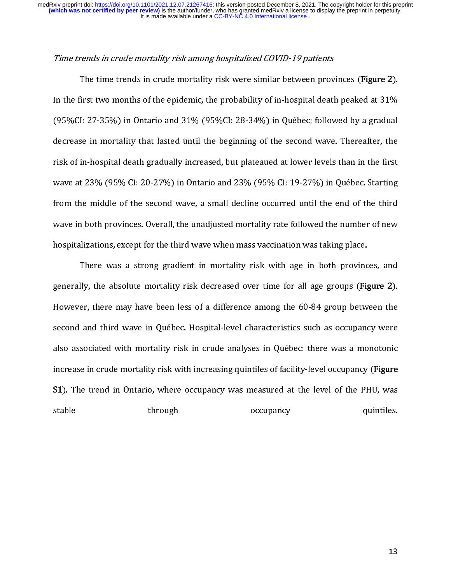### Time trends in crude mortality risk among hospitalized COVID-19 patients

 $\begin{bmatrix} 1 \\ 1 \\ 2 \end{bmatrix}$ The time trends in crude mortality risk were similar between provinces (Figure 2).<br>In the first two months of the epidemic, the probability of in-hospital death peaked at 31%<br>(95%CI: 27-35%) in Ontario and 31% (95%CI: 28-3 In the first two montains of the first two montains (95%CI: 28-34%) in Québec; followed by a gradual<br>decrease in mortality that lasted until the beginning of the second wave. Thereafter, the decrease in mortality that lasted until the beginning of the second wave. Thereafter, the<br>risk of in-hospital death gradually increased, but plateaued at lower levels than in the first risk of in-hospital death gradually increased, but plateaued at lower levels than in the first wave at 23% (95% CI: 20-27%) in Ontario and 23% (95% CI: 19-27%) in Québec. Starting from the middle of the second wave, a small decline occurred until the end of the third wave in both provinces. Overall, the unadjusted mortality rate followed the number of new<br>hospitalizations, except for the third wave when mass vaccination was taking place.

There was a strong gradient in mortality risk with age in both provinces, and generally, the absolute mortality risk decreased over time for all age groups (Figure 2). However, there may have been less of a difference among the 60-84 group between the second and third wave in Québec. Hospital-level characteristics such as occupancy were However, there may have been less of a millioner maling in the 1-group areas.<br>Second and third wave in Québec. Hospital-level characteristics such as occupancy were<br>also associated with mortality risk in crude analyses in second and the third wave in Quebec.<br>Second also associated with mortality risk in crude analyses in Québec: there was a monotonic<br>increase in crude mortality risk with increasing quintiles of facility-level occupancy (**Fi** increase in crude mortality risk with increasing quintiles of facility-level occupancy (**Figure**<br>51). The trend in Ontario, where occupancy was measured at the level of the PHU, was increase in crude mortality risk with increasing quintiles of facility-level occupancy (Figure<br>
S1). The trend in Ontario, where occupancy was measured at the level of the PHU, was<br>
stable through occupancy quintiles. S1). The trend in Ontario, where occupancy was measured at the level of the PHU, was<br>stable through occupancy quintiles.  $s_{\rm{eff}}$  and  $s_{\rm{eff}}$  and  $s_{\rm{eff}}$  and  $s_{\rm{eff}}$  and  $s_{\rm{eff}}$  and  $s_{\rm{eff}}$  and  $s_{\rm{eff}}$  and  $s_{\rm{eff}}$  and  $s_{\rm{eff}}$  and  $s_{\rm{eff}}$  and  $s_{\rm{eff}}$  and  $s_{\rm{eff}}$  and  $s_{\rm{eff}}$  and  $s_{\rm{eff}}$  and  $s_{\rm{eff}}$  and  $s_{\rm{eff}}$  a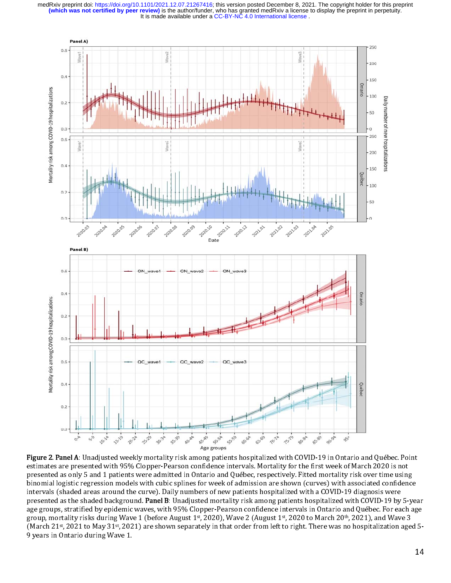

estimates are presented with 95% Clopper-Pearson confidence intervals. Mortality for the first week of March 2020 is not estimates are presented with 95% Clopper-Pearson connuesting mortality for the first week of  $\alpha$  and  $\alpha$  and  $\alpha$  is  $\alpha$  is  $\alpha$  is  $\alpha$  is  $\alpha$  is  $\alpha$  is  $\alpha$  is  $\alpha$  is  $\alpha$  is  $\alpha$  is  $\alpha$  is  $\alpha$  is  $\alpha$  is  $\alpha$  i presented as only 5 and 1 patients were admitted in Ontario and Québec, respectively. Fitted more admitstrated more dependent of the set of the set of the set of the set of the set of the set of the set of the set of the s intervals (shaded areas around the curve). Daily numbers of new patients hospitalized with a COVID-19 diagnosis were intervals (shaded areas around the curve). Daily numbers of new patients hospitalized with a COVID-19 diagnosis were presented as the shaded background. Fanel B: Unadjusted mortality risk among patients hospitalized with COVID-19 by 3-year<br>200 groups, stratified by opidamic wayes, with 95% Clopper Pearson confidence intervals in Ontario age groups, stratified by epidemic waves, with 95% Clopper-Pearson connuement intervals in Ontario and Québec. For each age group, mortality risks during Wave 1 (before August 1st, 2020), Wave 2 (August 1st, 2020 to March 20th, 2021), and Wa (March 21st, 2021 to May 31st, 2021) are shown separately in that order from left to right. There was no hospitalization 9 years in Ontario during Wave 1. Figure 2. Panel A: Unadjusted weekly mortality risk among patients hospitalized with COVID-19 in Ontario and Québec. Point idence ave  $\overline{J}$ n ageu *J-*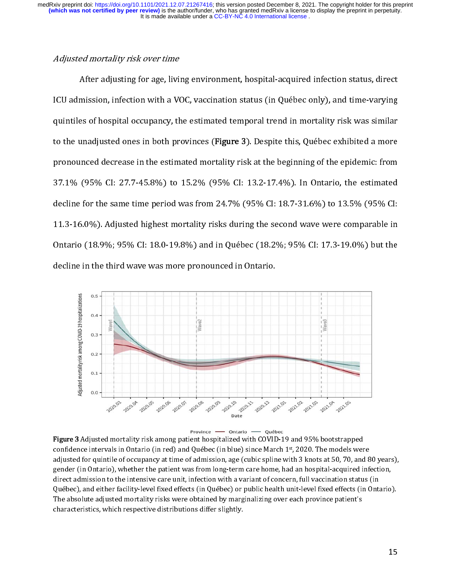### Adjusted mortality risk over time

 After adjusting for age, living environment, hospital-acquired infection status, direct t ICU admission, infection with a VOC, vaccination status (in Québec only), and time-varying g quintiles of hospital occupancy, the estimated temporal trend in mortality risk was similar to the unadjusted ones in both provinces (Figure 3). Despite this, Québec exhibited a more e pronounced decrease in the estimated mortality risk at the beginning of the epidemic: from m 37.1% (95% CI: 27.7-45.8%) to 15.2% (95% CI: 13.2-17.4%). In Ontario, the estimated d  $\alpha$ ecline for the same time period was from 24.7 % (55 % CI: 10.7-51.6 %) to 13.5 % CI: U 11.3-16.0%). Adjusted highest mortality risks during the second wave were comparable in n Ontario (18.9%; 95% CI: 18.0-19.8%) and in Québec (18.2%; 95% CI: 17.3-19.0%) but the e decline in the third wave was more pronounced in Ontario.





Figure 3 Adjusted mortality risk among patient hospitalized with COVID-19 and 95% bootstrapped confidence intervals in Ontario (in red) and Québec (in blue) since March 1st, 2020. The models were adjusted for quintile of occupancy at time of admission, age (cubic spline with 3 knots at 50, 70, and 80 years) gender (in Ontario), whether the patient was from long-term care home, had an hospital-acquired infection, direct admission to the intensive care unit, infection with a variant of concern, full vaccination status (in Québec), and either facility-level fixed effects (in Québec) or public health unit-level fixed effects (in Ontario). The absolute adjusted mortality risks were obtained by marginalizing over each province patient's characteristics, which respective distributions differ slightly. adjusted for quintile of occupancy at time of admission, age (cubic spline with 3 knots at 50, 70, and 80 years), .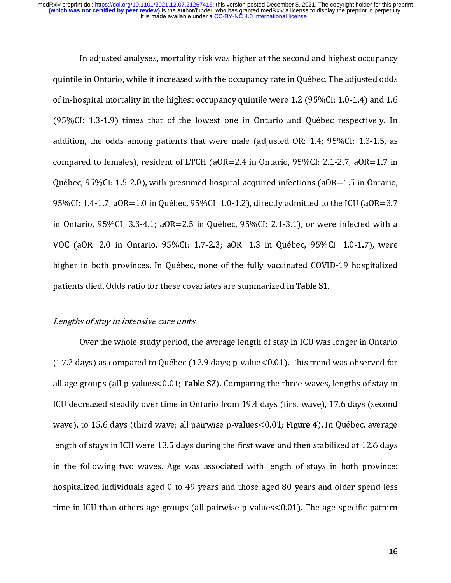In adjusted analyses, mortality risk was higher at the second and highest occupancy<br>quintile in Ontario, while it increased with the occupancy rate in Québec. The adjusted odds<br>of in-hospital mortality in the highest occup of in-hospital mortality in the highest occupancy quintile were 1.2 (95%CI: 1.0-1.4) and 1.6<br>(95%CI: 1.3-1.9) times that of the lowest one in Ontario and Québec respectively. In (95%CI: 1.3-1.9) times that of the lowest one in Ontario and Québec respectively. In addition, the odds among patients that were male (adjusted OR: 1.4; 95%CI: 1.3-1.5, as addition, the odds among patients that were male (adjusted OR:  $1.4$ ;  $95\%$ CI:  $1.3$ - $1.5$ , as compared to females), resident of LTCH (aOR=2.4 in Ontario,  $95\%$ CI: 2.1-2.7; aOR=1.7 in Québec, 95%CI: 1.5-2.0), with presumed hospital-acquired infections (aOR=1.5 in Ontario,<br>95%CI: 1.4-1.7; aOR=1.0 in Québec, 95%CI: 1.0-1.2), directly admitted to the ICU (aOR=3.7 in Ontario, 95%CI; 3.3-4.1;  $aOR=2.5$  in Québec, 95%CI: 2.1-3.1), or were infected with a 95%CI: 3.3-4.1; aOR=2.5 in Québec, 95%CI: 2.1-3.1), or were infected with a<br>VOC (aOR=2.0 in Ontario, 95%CI: 1.7-2.3; aOR=1.3 in Québec, 95%CI: 1.0-1.7), were In Ontario, 1978-1978-1978-11; and the Quebec, 95%CI; aDR=1.3 in Québec, 95%CI: 1.0-1.7), were higher in both provinces. In Québec, none of the fully vaccinated COVID-19 hospitalized higher in both provinces. In Québec, none of the fully vaccinated COVID-19 hospitalized patients died. Odds ratio for these covariates are summarized in Table S1.

# patients died. Odds ratio for these covariates are summarized in Table S1.<br>Lengths of stay in intensive care units Lengths of stay in intensive care units

Over the whole study period, the average length of stay in ICU was longer in Ontario<br>(17.2 days) as compared to Québec (12.9 days; p-value<0.01). This trend was observed for all age groups (all p-values  $< 0.01$ ; Table S2). Comparing the three waves, lengths of stay in ICU decreased steadily over time in Ontario from 19.4 days (first wave), 17.6 days (second<br>wave), to 15.6 days (third wave; all pairwise p-values<0.01; Figure 4). In Québec, average ICU decreased steadily over time in Ontario from 19.4 days (there there)) 19.4 days (there is a<br>wave), to 15.6 days (third wave; all pairwise p-values<0.01; **Figure 4**). In Québec, average<br>length of stays in ICU were 13.5 wave), to 15.6 days (third wave, an pairwise p-values <0.01; Figure 4). In Quebec, average<br>length of stays in ICU were 13.5 days during the first wave and then stabilized at 12.6 days<br>in the following two waves. Age was as in the following two waves. Age was associated with length of stays in both province:<br>hospitalized individuals aged 0 to 49 vears and those aged 80 vears and older spend less in the following two waves rige was are claims with length of stays in both province:<br>hospitalized individuals aged 0 to 49 years and those aged 80 years and older spend less<br>time in ICU than others age groups (all pairwis time in ICU than others age groups (all pairwise p-values<0.01). The age-specific pattern<br>time in ICU than others age groups (all pairwise p-values<0.01). The age-specific pattern time in ICU than  $\frac{1}{\sqrt{2}}$  and  $\frac{1}{\sqrt{2}}$  (all pairwise p-values  $\frac{1}{\sqrt{2}}$ ). The age-specific patterns  $\frac{1}{\sqrt{2}}$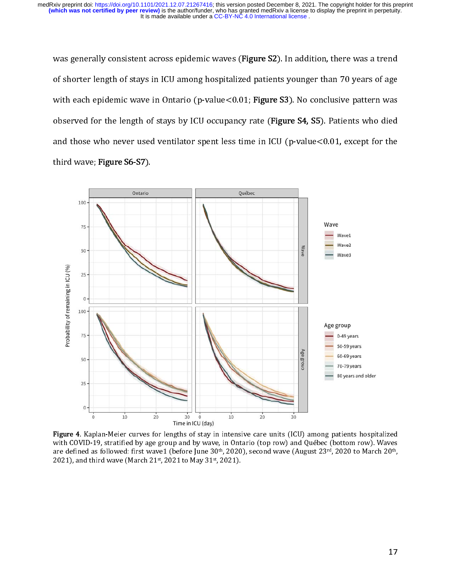was generally consistent across epidemic waves (Fi**gure 32**). In addition, there was a trend of shorter length of stays in ICU among hospitalized patients younger than 70 years of age e with each epidemic wave in Ontario (p-value \0.01, Fi**gure S3**). No conclusive pattern was observed for the length of stays by ICO occupancy rate (Fi**gure S4, SS**). Fatients who died and those who never used ventilator spent less time in ICO (p-value\0.01, except for the third wave; Figure S6-S7).



Figure 4. Kaplan-Meier curves for lengths of stay in intensive care units (Icu) among patients hospitalized.<br>Collin 10 starting of the second patients of the second patients (for second or floridae (better second Meier with COVID-19, stratified by age group and by wave, in Ontario (top row) and Québec (bottom row). Waves 20th<br>and defined as followed functional (before line 20th 2020) assembly waves (distributed 20th 2020 to Marsh 20th are defined as followed: first wave1 (before June 30),  $2020$ , second wave (August 23<sup>rd</sup>, 2020 to March 20th, 2020 to March 20th, 2020 to March 20th, 20th, 20th, 20th, 20th, 20th, 20th, 20th, 20th, 20th, 2020 to March 20 2021), and third wave (March 21st, 2021 to May 31st, 2021). s  $\overline{\phantom{a}}$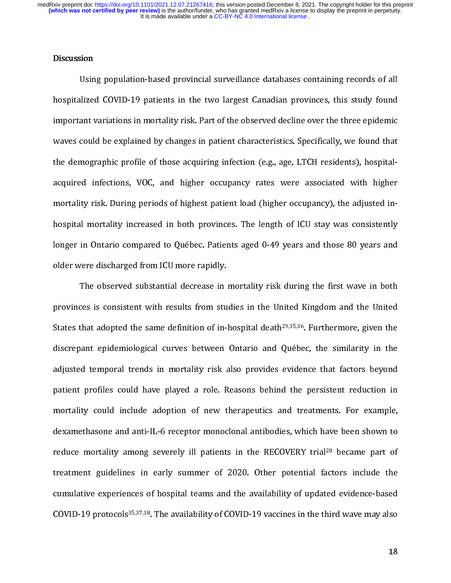### **Discussion**

 $\frac{1}{1}$ Using Prepares of Preparts in the two largest Canadian provinces, this study found<br>ant variations in mortality risk. Part of the observed decline over the three epidemic important variations in mortality risk. Part of the observed decline over the three epidemic<br>waves could be explained by changes in patient characteristics. Specifically, we found that waves could be explained by changes in patient characteristics. Specifically, we found that<br>the demographic profile of those acquiring infection (e.g., age, LTCH residents), hospitalacquired infections, VOC, and higher occupancy rates were associated with higher mortality risk. During periods of highest patient load (higher occupancy), the adjusted inhospital mortality increased in both provinces. The length of ICU stay was consistently ionger in ontario compared to Quebec. Patients aged 0-49 years and those 80 years and hospital mortality increases in both provinces are length of ICU stay was consistently<br>longer in Ontario compared to Québec. Patients aged 0-49 years and those 80 years and<br>older were discharged from ICU more rapidly. older were discharged from ICU more rapidly.<br>The observed substantial decrease in mortality risk during the first wave in both

provinces is consistent with results from studies in the United Kingdom and the United provinces is consistent with results from studies in the United Kingdom and the United<br>States that adopted the same definition of in-hospital death<sup>29,35,36</sup>. Furthermore, given the provinces is consistent with result from states in the United English fluit from states<br>States that adopted the same definition of in-hospital death<sup>29,35,36</sup>. Furthermore, given the<br>discrepant epidemiological curves betwe discrepant epidemiological curves between Ontario and Québec, the similarity in the<br>adiusted temporal trends in mortality risk also provides evidence that factors bevond discrepandies of the set of the statistical curves adjusted temporal trends in mortality risk also provides evidence that factors beyond<br>patient profiles could have played a role. Reasons behind the persistent reduction in adjusted temporal trends in mortality risk also provides trends into the conjunction in<br>patient profiles could have played a role. Reasons behind the persistent reduction in<br>mortality could include adoption of new therapeu mortality could include adoption of new therapeutics and treatments. For example,<br>dexamethasone and anti-IL-6 receptor monoclonal antibodies, which have been shown to dexamethasone and anti-IL-6 receptor monoclonal antibodies, which have been shown to<br>reduce mortality among severely ill patients in the RECOVERY trial<sup>28</sup> became part of dexamed and and and and the correspondance and and anti-IL-6 receptor mortality among severely ill patients in the RECOVERY trial<sup>28</sup> became part of treatment guidelines in early summer of 2020. Other potential factors inc treatment guidelines in early summer of 2020. Other potential factors include the<br>cumulative experiences of hospital teams and the availability of updated evidence-based treatment guidelines in early summer of 2020. Other potential factors include the<br>cumulative experiences of hospital teams and the availability of updated evidence-based<br>COVID-19 protocols<sup>35,37,38</sup>. The availability of CO COVID-19 protocols<sup>35,37,38</sup>. The availability of COVID-19 vaccines in the third wave may also COVID-19 protocols<sup>35,37,38</sup>. The availability of COVID-19 vaccines in the third wave may also<br>18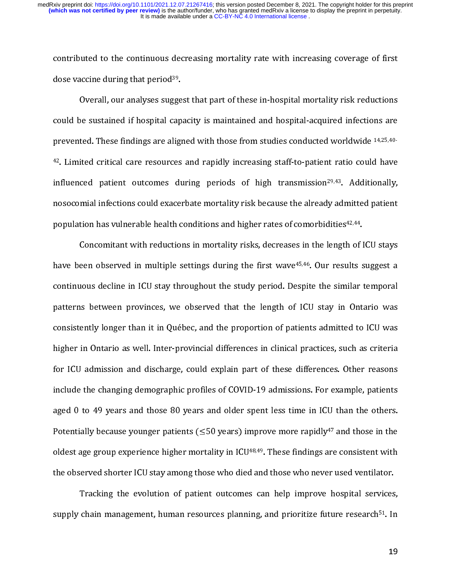contributed to the continuous decreasing mortality rate with increasing coverage of first<br>dose vaccine during that period<sup>39</sup>.<br>Overall, our analyses suggest that part of these in-hospital mortality risk reductions

 $\begin{bmatrix} 1 \ 4 \end{bmatrix}$ dose vaccine during that period<sup>39</sup>.<br>Overall, our analyses sugge<br>could be sustained if hospital cap Overally once sustained if hospital capacity is maintained and hospital-acquired infections are<br>ted. These findings are aligned with those from studies conducted worldwide 14,25,40prevented. These findings are aligned with those from studies conducted worldwide 14,25,40-<br><sup>42</sup>. Limited critical care resources and rapidly increasing staff-to-patient ratio could have prevented. These findings are anglied with those from studies conducted worldwide 14,25,40-<br><sup>42</sup>. Limited critical care resources and rapidly increasing staff-to-patient ratio could have<br>influenced patient outcomes during influenced patient outcomes during periods of high transmission<sup>29,43</sup>. Additionally, nosocomial infections could exacerbate mortality risk because the already admitted patient population has vulnerable health conditions and higher rates of comorbidities<sup>42,44</sup>.<br>Concomitant with reductions in mortality risks, decreases in the length of ICU stavs

population has vulnerable health conditions and higher rates of comorbidities<sup>42,44</sup>.<br>Concomitant with reductions in mortality risks, decreases in the length of l<br>have been observed in multiple settings during the first wa CONCOMITANT WITH REDUCTIONS IN MALY STATES IN THE LENGTH OF ISSUE ONLY THE LENGTH CONSUMENCE IN THE LENGTH OF I<br>Reductions in the length of ICU stays throughout the study period. Despite the similar temporal continuous decline in ICU stay throughout the study period. Despite the similar temporal<br>patterns between provinces, we observed that the length of ICU stay in Ontario was consistently longer than it in Québec, and the proportion of patients admitted to ICU was patterns accounting provinces, we observed that the length of Propy in Ontario was<br>consistently longer than it in Québec, and the proportion of patients admitted to ICU was<br>higher in Ontario as well. Inter-provincial diffe consistently longer than it in Quebec, and the proportion or patients admitted to ICU and<br>higher in Ontario as well. Inter-provincial differences in clinical practices, such as criteria<br>for ICU admission and discharge, cou for ICU admission and discharge, could explain part of these differences. Other reasons<br>include the changing demographic profiles of COVID-19 admissions. For example, patients for ICU admissions and discussed include the changing demographic profiles of COVID-19 admissions. For example, patients aged 0 to 49 years and those 80 years and older spent less time in ICU than the others. aged 0 to 49 years and those 80 years and older spent less time in ICU than the others.<br>Potentially because younger patients ( $\leq$ 50 years) improve more rapidly<sup>47</sup> and those in the Potentially because younger patients ( $\leq$ 50 years) improve more rapidly<sup>47</sup> and those in the oldest age group experience higher mortality in ICU<sup>48,49</sup>. These findings are consistent with Potentially because younger patients ( $\leq$ 50 years) improve more rapidly<sup>47</sup> and those in the<br>oldest age group experience higher mortality in ICU<sup>48,49</sup>. These findings are consistent with<br>the observed shorter ICU stay a the observed shorter ICU stay among those who died and those who never used ventilator.<br>Tracking the evolution of patient outcomes can help improve hospital services,

Tracking the evolution of patient outcomes can help improve hospital services<br>supply chain management, human resources planning, and prioritize future research<sup>51</sup>. In Tracking the evolution of patient of patient of patient of patient of patient of patient of patient of patient outcomes can help in prove the matter of patient of patient of patient of patient of patient of patient of pati supply chain management, human resources planning, and prioritize future research<sup>91</sup>. In<br>19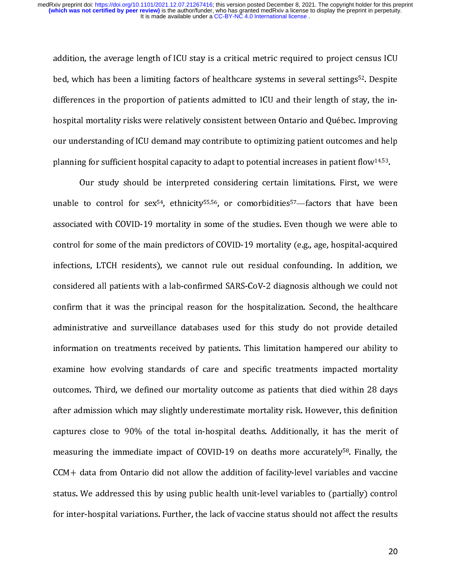:<br>|}<br>|} addition, the average length of ICU stay is a critical metric required to project census ICU<br>bed, which has been a limiting factors of healthcare systems in several settings<sup>52</sup>. Despite<br>differences in the proportion of pa hospital mortality risks were relatively consistent between Ontario and Québec. Improving our understanding of it o demand may contribute to optimizing patient outcomes and neip hour understanding of ICU demand may contribute to optimizing patient outcomes and help<br>planning for sufficient hospital capacity to adapt to potential increases in patient flow<sup>14,53</sup>. planning for sufficient hospital capacity to adapt to potential increases in patient flow<sup>14,53</sup>.<br>Our study should be interpreted considering certain limitations. First, we were

planning for sufficient hospital capacity to adapt to potential increases in patient flow14,55.<br>Our study should be interpreted considering certain limitations. First, we were<br>unable to control for sex<sup>54</sup>, ethnicity<sup>55,56</sup> unable to control for sex<sup>54</sup>, ethnicity<sup>55,56</sup>, or comorbidities<sup>57</sup>—factors that have been<br>associated with COVID-19 mortality in some of the studies. Even though we were able to associated with COVID-19 mortality in some of the studies. Even though we were able to<br>control for some of the main predictors of COVID-19 mortality (e.g., age, hospital-acquired infections, LTCH residents), we cannot rule out residual confounding. In addition, we control for some of the main predictors of the main predictors,  $C_0$ ,  $C_0$ ,  $C_0$ ,  $C_0$ ,  $C_1$ ,  $C_2$ ,  $C_0$ ,  $C_1$ ,  $C_2$ ,  $C_0$ ,  $C_1$ ,  $C_2$ ,  $C_0$   $C_1$ ,  $C_2$   $C_0$   $C_2$   $C_1$   $C_2$   $C_1$   $C_2$   $C_1$   $C_2$   $C_2$  infections), considered all patients with a lab-confirmed SARS-CoV-2 diagnosis although we could not<br>confirm that it was the principal reason for the hospitalization. Second, the healthcare confirm that it was the principal reason for the hospitalization. Second, the healthcare<br>administrative and surveillance databases used for this study do not provide detailed confirm that it was the principal reason for the displanation. The hospitalization<br>administrative and surveillance databases used for this study do not provide detailed<br>information on treatments received by patients. This and<br>information on treatments received by patients. This limitation hampered our ability to<br>examine how evolving standards of care and specific treatments impacted mortality examine how evolving standards of care and specific treatments impacted mortality<br>outcomes. Third, we defined our mortality outcome as patients that died within 28 days examine the evolving standards of care and specific treatments impacts the careginal<br>outcomes. Third, we defined our mortality outcome as patients that died within 28 days<br>after admission which may slightly underestimate m after admission which may slightly underestimate mortality risk. However, this definition<br>captures close to 90% of the total in-hospital deaths. Additionally, it has the merit of captures close to 90% of the total in-hospital deaths. Additionally, it has the merit of measuring the immediate impact of COVID-19 on deaths more accurately<sup>58</sup>. Finally, the captures close to 90% of the total in-hospital deaths. The theorem, y is the the merit of the measuring the immediate impact of COVID-19 on deaths more accurately<sup>58</sup>. Finally, the CCM+ data from Ontario did not allow the CCM+ data from Ontario did not allow the addition of facility-level variables and vaccine<br>status. We addressed this by using public health unit-level variables to (partially) control CCCM+ data from Ontario did not allow the additions of facility-level variables to (partially) control<br>for inter-hospital variations. Further, the lack of vaccine status should not affect the results for inter-hospital variations. Further, the lack of vaccine status should not affect the results  $\frac{1}{2}$ for inter-hospital variations. Further, the lack of variations in variations. Further, the results of  $\sim$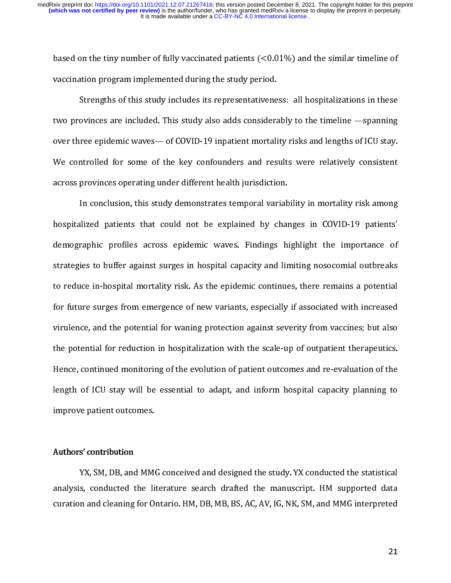based on the tiny number of fully vaccinated patients (<0.01%) and the similar timeline of<br>vaccination program implemented during the study period.<br>Strengths of this study includes its representativeness: all hospitalizati

|<br>|<br>|<br>| two provinces are included. This study also adds considerably to the timeline —spanning over three epidemic waves - of COVID-19 inpatient mortality risks and lengths of ICU stay. the province are included. The over three epidemic waves— of COVID-19 inpatient mortality risks and lengths of ICU stay.<br>We controlled for some of the key confounders and results were relatively consistent over the controlled for some of the key confounders and results were relatively consistent<br>across provinces operating under different health jurisdiction. across provinces operating under different health jurisdiction.<br>In conclusion, this study demonstrates temporal variability in mortality risk among

hospitalized patients that could not be explained by changes in COVID-19 patients' In this study of the explained by changes in COVID-19 patients'<br>In could not be explained by changes in COVID-19 patients'<br>In this profiles across epidemic waves. Findings highlight the importance of demographic profiles across epidemic waves. Findings highlight the importance of<br>strategies to buffer against surges in hospital capacity and limiting nosocomial outbreaks demographic profiles across epidemic waves. Finally inglinged the importance of<br>strategies to buffer against surges in hospital capacity and limiting nosocomial outbreaks<br>to reduce in-hospital mortality risk. As the epidem strategies to reduce in-hospital mortality risk. As the epidemic continues, there remains a potential<br>for future surges from emergence of new variants, especially if associated with increased for future surges from emergence of new variants, especially if associated with increased<br>virulence, and the potential for waning protection against severity from vaccines; but also for future surges from emergence of new variants, especially if also wirulence, and the potential for waning protection against severity from vaccines; but also<br>the potential for reduction in hospitalization with the scale virulence, and the potential for reduction in hospitalization with the scale-up of outpatient therapeutics.<br>Hence, continued monitoring of the evolution of patient outcomes and re-evaluation of the the potential formulation in the potential formulation in the potential formulation in the scale of the scale and the scale and the scale and the scale of the scale of the scale of  $\Gamma$  of  $\Gamma$  of  $\Gamma$  of  $\Gamma$  of  $\Gamma$  of Hength of ICU stay will be essential to adapt, and inform hospital capacity planning to improve patient outcomes. length of ICU stay will be estimated adapty, and inform hospital capacity planning to improve patient outcomes.

# improve patient outcomes. Authors' contribution

 $\begin{bmatrix} 1 \\ 2 \end{bmatrix}$ YX, SM, DB, and MMG conceived and designed the study, YX conducted the statistical analysis, conducted the literature search drafted the manuscript. HM supported data curation and cleaning for Ontario. HM, DB, MB, BS, AC, AV, IG, NK, SM, and MMG interpreted curation and cleaning for Ontario. HM, DB, MB, BS, AC, AV, IG, NK, SM, and MMG interpreted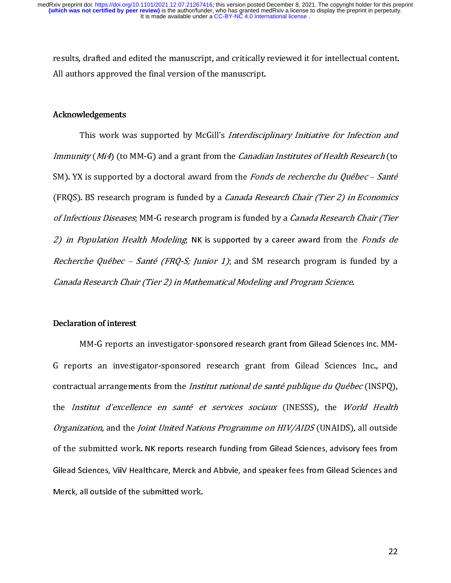results, drafted and edited the manuscript, and critically reviewed it for intellectual content.

## Acknowledgements Acknowledgements

 $\begin{bmatrix} 1 \\ 1 \\ 2 \\ 3 \end{bmatrix}$  $\overline{a}$ This work was supported by McGill's *Interdisciplinary Initiative for Infection and*<br>Immunity (Mi4) (to MM-G) and a grant from the *Canadian Institutes of Health Research* (to<br>SM). YX is supported by a doctoral award from  $(FRQS)$ . BS research program is funded by a *Canada Research Chair (Tier 2) in Economics* SM). TX is supported by a doctoral award from the Fonds de recherche du Québec – santé<br>(FRQS). BS research program is funded by a *Canada Research Chair (Tier 2) in Economics*<br>of Infectious Diseases, MM-G research program (FRQS). BS research program is funded by a *canada Research Chair (Tier 2) in Economics*<br>of Infectious Diseases, MM-G research program is funded by a *Canada Research Chair (Tier*<br>2) in Population Health Modeling, NK is su of Infectious Diseases; MM-G research program is funded by a canada Research Chair (Tier<br>
2) in Population Health Modeling, NK is supported by a career award from the Fonds de<br>
Recherche Québec – Santé (FRQ-S; Junior 1); a Canada Research Chair (Tier 2) in Mathematical Modeling and Program Science.

#### Declaration of interest

2) in Fopulation Health Modeling; NK is supported by a career award from the Fonds de<br>Recherche Québec - Santé (FRQ-S; Junior 1); and SM research program is funded by a<br>Canada Research Chair (Tier 2) in Mathematical Modeli Canada Research Chair (Tier 2) in Mathematical Modeling and Program Science.<br>
Declaration of interest<br>
MM-G reports an investigator-sponsored research grant from Gilead Sciences Inc. MM-<br>
G reports an investigator-sponsore  $\overline{a}$ tual arrangements from the *Institut national de sante publique du Quebec* (INSPQ),<br>*stitut d'excellence en santé et services sociaux* (INESSS), the *World Health*<br>*zation*, and the *Joint United Nations Programme on HIV/A* contractual arrangements from the *Institut national de santé publique du Québec* (INSPQ),<br>the *Institut d'excellence en santé et services sociaux* (INESSS), the *World Health* contractual arrangements from the *institut national de santé publique du Québec* (INSPQ),<br>the *Institut d'excellence en santé et services sociaux* (INESSS), the *World Health*<br>*Organization*, and the *Joint United Nations Organization*, and the *Joint United Nations Programme on HIV/AIDS* (UNAIDS), all outside<br>of the submitted work. NK reports research funding from Gilead Sciences, advisory fees from Gilead Sciences, ViiV Healthcare, Merck and Abbvie, and speaker fees from Gilead Sciences and Gilead Sciences, ViiV Healthcare, Merck and Abbvie, and speaker fees from Gilead Sciences and<br>Merck, all outside of the submitted work.<br>22 Merck, all outside of the submitted work.<br>
22 Merck, all outside of the submitted work.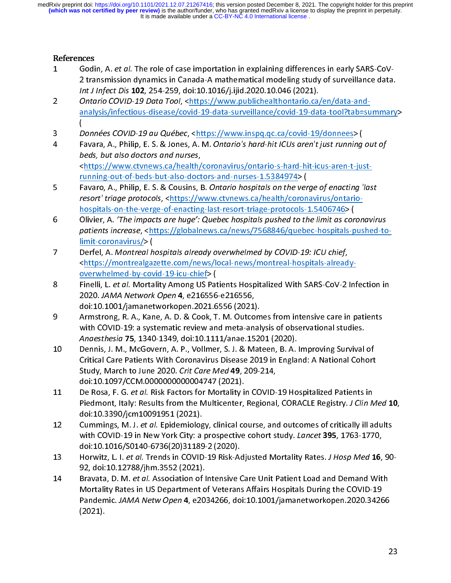- References<br>1 Godi<br>2 tra<br>1nt J<br>2 Onto
- 
- 
- $\begin{bmatrix} 1 \\ 2 \\ 3 \end{bmatrix}$ 2 transmission dynamics in Canada-A mathematical modeling study of surveillance data<br>
2 transmission dynamics in Canada-A mathematical modeling study of surveillance data<br>
1nt J Infect Dis 102, 254-259, doi:10.1016/j.ijid. Int J Infect Dis **102**, 254-259, doi:10.1016/j.ijid.2020.10.046 (2021).<br>Ontario COVID-19 Data Tool, <https://www.publichealthontario.ca/en/data-and-<br>analysis/infectious-disease/covid-19-data-surveillance/covid-19-data-tool Intario COVID-19 Data Tool, <https://www.publichealthontario.ca/<br>analysis/infectious-disease/covid-19-data-surveillance/covid-19-data<br>(<br>Données COVID-19 au Québec, <https://www.inspq.qc.ca/covid-19-data<br>(<br>Données COVID-19 2 Ontario COVID-19 Data Tool, Sinteps://www.publicaltealthontario.ca/en/data-tool?tab=st<br>
analysis/infectious-disease/covid-19-data-surveillance/covid-19-data-tool?tab=st<br>
(<br>
Données COVID-19 au Québec, <https://www.inspq. (<br>
Channées COVID-19 au Québec, <https://www.inspq.qc.ca/covid-19/donnees> (<br>
Favara, A., Philip, E. S. & Jones, A. M. Ontario's hard-hit ICUs aren't just running out of<br>
beds, but also doctors and nurses,<br>
<https://www.ct 、DFb<NF NhC piD< 3 Donnees Covid-19 au Quebec, A. M. Ontario's hard-hit ICUs aren't just running<br>leads, but also doctors and nurses, A. M. Ontario's hard-hit ICUs aren't just running<br>leads, but also doctors and nurses.<br>
<https://www.ctvnew Favara, A., Philip, E. S. & Jones, A. M. Ontario's hard-hit ICUs aren't just running out of<br>
beds, but also doctors and nurses,<br>
<https://www.ctvnews.ca/health/coronavirus/ontario-s-hard-hit-icus-aren-t-just-<br>
<u>running-out</u>
- beds, but also doctors and naises,<br>
shttps://www.ctvnews.ca/health/<br>
<u>running-out-of-beds-but-also-doct</u><br>
Favaro, A., Philip, E. S. & Cousins, I<br>
resort' triage protocols, <https://w<br>
hospitals-on-the-verge-of-enacting<br>
Ol Favaro, A., Philip, E. S. & Cousins, B. Ontario hospitals on the ver<br>resort' triage protocols, <https://www.ctvnews.ca/health/coron<br>hospitals-on-the-verge-of-enacting-last-resort-triage-protocols--<br>Olivier, A. The impacts
- 5 Favaro, A., Philip, E. S. & Cousins, B. Ontario hospitals on the verge of enacting 'last<br>
resort' triage protocols, <br/> $\kappa$ . Https://www.ctvnews.ca/health/coronavirus/ontario-<br>
hospitals-on-the-verge-of-enacting-last
- 
- doi:10.1001/jamanetworkopen.2021.6556 (2021).<br>Armstrong, R. A., Kane, A. D. & Cook, T. M. Outcomes from intensive care in patients
- resort' triage protocols, <https://www.ctvnews.ca/health/coronavirus/ontario-<br>hospitals-on-the-verge-of-enacting-last-resort-triage-protocols-1.5406746> (<br>Olivier, A. 'The impacts are huge': Quebec hospitals pushed to the Olivier, A. 'The impacts are huge': Quebec hospitals pushed to the limit as corpatients increase, <https://globalnews.ca/news/7568846/quebec-hospitals-plimit-coronavirus/> (<br>berfel, A. Montreal hospitals already overwhelme orther, R. The impacts are huge : Quebec hospitals pushed to the limit as coronavirus<br>patients increase,  $\alpha$ (https://globalnews.ca/news/7568846/quebec-hospitals-pushed-to<br>limit-coronavirus/>(<br>Derfel, A. Montreal hospitals
- patients increase, sincrease, and metalling the mission patients in the since to Derfel, A. Montreal hospitals already overwhelmed by COVID-19: ICU chief, shttps://montrealgazette.com/news/local-news/montreal-hospitals-alr Derfel, A. Montreal h<br>
Shttps://montrealgaz<br>
Noverwhelmed-by-cov<br>
Finelli, L. *et al.* Morta<br>
2020. JAMA Network<br>
doi:10.1001/jamanet<br>
Armstrong, R. A., Kan<br>
with COVID-19: a syst<br>
Anaesthesia 75, 1340<br>
Dennis, J. M., McGo 2 Derty, A. Montreal apazette.com/news/local-news/montreal-hospitals-already<br>
2. Normal hospitals alread<br>
2. Normal hospitals alread<br>
2. Dervine line by-covid-19-icu-chief> (<br>
2. Finelli, L. *et al.* Mortality Among US Pat Finelli, L. *et al.* Mortality Among US Pat<br>2020. JAMA Network Open 4, e216556<br>doi:10.1001/jamanetworkopen.2021.6<br>Armstrong, R. A., Kane, A. D. & Cook, T<br>with COVID-19: a systematic review an<br>Anaesthesia 75, 1340-1349, doi 8 Finelly, L. et al. Workding Contention 10020, JAMA Network Open 4, e216556-e216556,<br>
doi:10.1001/jamanetworkopen.2021.6556 (2021).<br>
Armstrong, R. A., Kane, A. D. & Cook, T. M. Outcomes from intensive care in patients<br>
wi 2020. JAMA Network Open 4, e216350 e216356,<br>doi:10.1001/jamanetworkopen.2021.6556 (2021)<br>Armstrong, R. A., Kane, A. D. & Cook, T. M. Outco<br>with COVID-19: a systematic review and meta-an:<br>Anaesthesia 75, 1340-1349, doi:10.1 Armstrong, R. A., Kane, A. D. & Cook, T. M. Outcom<br>with COVID-19: a systematic review and meta-anal<br>Anaesthesia 75, 1340-1349, doi:10.1111/anae.1520<br>Dennis, J. M., McGovern, A. P., Vollmer, S. J. & Mat<br>Critical Care Patien with COVID-19: a systematic review and meta-analysis of observational studies.<br>
Anaesthesia 75, 1340-1349, doi:10.1111/anae.15201 (2020).<br>
10 Dennis, J. M., McGovern, A. P., Vollmer, S. J. & Mateen, B. A. Improving Surviva Anaesthesia 75, 1340-1349, doi:10.1111/anae.15201 (2020).<br>Dennis, J. M., McGovern, A. P., Vollmer, S. J. & Mateen, B. A. Improving Survival<br>Critical Care Patients With Coronavirus Disease 2019 in England: A National Cohe<br>S Anaesthesia 75, 1340-1345, doi.10.11117/anae.15201 (2020).<br>Dennis, J. M., McGovern, A. P., Vollmer, S. J. & Mateen, B. A.<br>Critical Care Patients With Coronavirus Disease 2019 in Englan<br>Study, March to June 2020. Crit Care Critical Care Patients With Coronavirus Disease 2019 in England: A National Cohort<br>
Study, March to June 2020. Crit Care Med 49, 209-214,<br>
doi:10.1097/CCM.0000000000004747 (2021).<br>
De Rosa, F. G. et al. Risk Factors for M
- Piedmont, Italy: Results from the Multicenter, Regional, CORACLE Registry. *J Clin Med* 10,<br>doi:10.3390/icm10091951 (2021).
- 
- 
- Study, March to June 2020. Crit Care Med 49, 209-214,<br>doi:10.1097/CCM.0000000000004747 (2021).<br>De Rosa, F. G. *et al.* Risk Factors for Mortality in COVID-19 Hospitalized Patients in<br>Piedmont, Italy: Results from the Multi Study, March to June 2020. Christine Med 49, 209-214,<br>doi:10.1097/CCM.0000000000004747 (2021).<br>De Rosa, F. G. *et al.* Risk Factors for Mortality in COVID-<br>Piedmont, Italy: Results from the Multicenter, Regional<br>doi:10.339 De Rosa, F. G. *et al.* Risk Factors for Mortality in Piedmont, Italy: Results from the Multicenter, doi:10.3390/jcm10091951 (2021).<br>Cummings, M. J. *et al.* Epidemiology, clinical cc with COVID-19 in New York City: a pros 11 De Rosa, F. C. et al. Risk Factors for Moltality in COVID-19 Hospitalized Patients in<br>
Piedmont, Italy: Results form the Multicenter, Regional, CORACLE Registry. J Clin R<br>
doi:10.3390/jcm10091951 (2021).<br>
Cummings, M. J Teamont, Italy: Nessair of the Multicenter, Regional, Corolecte Registry. J clin Med 10,<br>doi:10.3390/jcm10091951 (2021).<br>Cummings, M. J. et al. Epidemiology, clinical course, and outcomes of critically ill adults<br>with COVI cummings, M. J. *et al.* Epidemiolog<br>with COVID-19 in New York City: a<br>doi:10.1016/S0140-6736(20)31189<br>Horwitz, L. I. *et al.* Trends in COVID<br>92, doi:10.12788/jhm.3552 (2021).<br>Bravata, D. M. *et al.* Association of<br>Mortal untilings, w.f. a.e. the course, must be contributed to controlled the course, and outcomes of critically in New York City: a prospective cohort study. Lancet 395, 1763-1770, doi:10.1016/S0140-6736(20)31189-2 (2020).<br>Horw with COVID-19 in New York City: a prospective connect study. Lancet 353, 1763-1770,<br>doi:10.1016/50140-6736(20)31189-2 (2020).<br>Horwitz, L. I. *et al.* Trends in COVID-19 Risk-Adjusted Mortality Rates. *J Hosp Med* 16,<br>92, d Horwitz, L. I. *et al.* Trends in COVID-19 Risk-Adobtiz, L. I. *et al.* Trends in COVID-19 Risk-Adobtiz, And D. M. *et al.* Association of Intensive (<br>Mortality Rates in US Department of Veteran:<br>Pandemic. *JAMA Netw Open* 13 Horwitz, L. I. et al. Instant Covid-13 Horse Adjusted Mortality Rates. J Hosp Med 16, 30-<br>92, doi:10.12788/jhm.3552 (2021).<br>Bravata, D. M. *et al.* Association of Intensive Care Unit Patient Load and Demand With<br>Mortali Pravata, D. M. *et al.* Association of l<br>Bravata, D. M. *et al.* Association of l<br>Mortality Rates in US Department o<br>Pandemic. *JAMA Netw Open* 4, e20:<br>(2021). 14 Bravata, D. M. et al. Association of Intensive Care Onlt Patient Load and Demand With<br>Mortality Rates in US Department of Veterans Affairs Hospitals During the COVID-19<br>Pandemic. JAMA Netw Open 4, e2034266, doi:10.1001/ Pandemic. JAMA Netw Open 4, e2034266, doi:10.1001/jamanetworkopen.2020.3426<br>(2021).<br> Pandemic. JAMA Netw Open 4, e2034266, doi:10.1001/jamanetworkopen.2020.34266<br>(2021). (2021).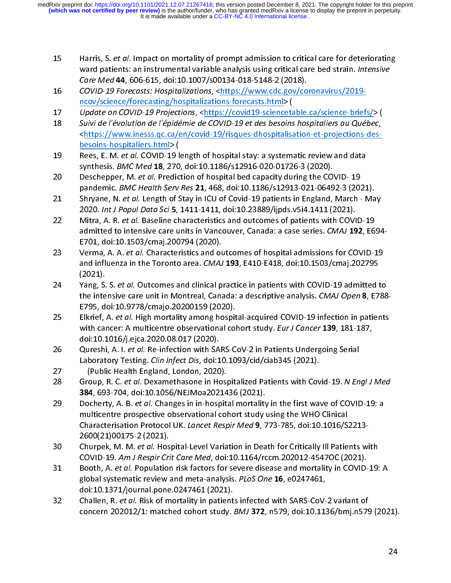- 
- 
- 
- 15 Harris, S. et al. Impact on mortal variable analysis using critical care bed strain. *Intensive*<br>
Care Med 44, 606-615, doi:10.1007/s00134-018-5148-2 (2018).<br>
COVID-19 Forecasts: Hospitalizations, <https://www.cdc.gov/c ward patients: an instrumental variable and ysing the Correlation Care Med 44, 606-615, doi:10.1007/s00134-018-5148-2 (2018).<br>
COVID-19 Forecasts: Hospitalizations, <https://www.cdc.gov/coronavirus/2019-<br>
neov/science/fore COVID-19 Forecasts: Hospitalizations, <https://www.cdc.gov/concov/science/forecasting/hospitalizations-forecasts.html> (<br>Update on COVID-19 Frojections, <https://covid19-sciencetable.<br>Suivi de l'évolution de l'épidémie de 16 Covisions. The maniform of the matter in the method in the method is the covision of the covision of the covid-19 Forecasts: Https://www.inesss.qc.ca/en/covid-19/risques-dhospitalization-et-projections-<br>
18 Suivi de l'é
- 
- 
- 
- Update on COVID-19 Projections, <https://covid19-scienceta<br>Suivi de l'évolution de l'épidémie de COVID-19 et des besoins<br><https://www.inesss.qc.ca/en/covid-19/risques-dhospitalists<br>besoins-hospitaliers.html> (<br>Rees, E. M. 17 Update on COVID-19 Projections, Since of the COVID-19 et des besoins hospitaliers au Québec,<br>
suivide l'évolution de l'épidémie de COVID-19 et des besoins hospitaliers au Québec,<br>
entrips://www.inesss.gc.ca/en/covid-19/ Suivi de l'évolution de l'épidémie de COVID-19 et des besoins hospitaliers au Québec,<br>  $\frac{\text{https://www.iness.cc.ca/en/covid-19/risques-dhospitalisation-et-projections-des-  
\nbesoins-hospitaliers.html>}{\text{Rees, E. M. et al. COVID-19 length of hospital stay: a systematic review and data  
\nsynthesis. *BMC Med* **18**, 270, doi:10.1186/s12916-020-01726-3 (2020).<$ Rees, E. M. *et al.* COVID-19 k<br>Rees, E. M. *et al.* COVID-19 k<br>synthesis. *BMC Med* 18, 270<br>Deschepper, M. *et al.* Predic<br>pandemic. *BMC Health Serv*<br>Shryane, N. *et al.* Length of S<br>2020. *Int J Popul Data Sci* 5,<br>Mitra 19 Rees, E. W. et al. CovID-12 Inguin of hospital stay. a systematic review and data<br>synthesis. BMC Med 18, 270, doi:10.1186/s12916-020-01726-3 (2020).<br>Deschepper, M. et al. Prediction of hospital bed capacity during the C synthesis. BMC Med 18, 270, doi:10.1180/312310-020-01720-3 (2020).<br>Deschepper, M. et al. Prediction of hospital bed capacity during the CO'<br>pandemic. BMC Health Serv Res 21, 468, doi:10.1186/s12913-021-0649<br>Shryane, N. et 20 Description, M. et al. Prediction of hospital bed capacity during the COVID-19 adminition. *BMC Health Serv Res* 21, 468, doi:10.1186/s12913-021-06492-3 (202)<br>
Shryane, N. *et al.* Length of Stay in ICU of Covid-19 pati pandemic. *Net al. Length of Stay* in ICU of Covid-19 patients in England, March - Ma<br>Shryane, N. *et al. Length of Stay* in ICU of Covid-19 patients in England, March - Ma<br>2020. *Int J Popul Data Sci* 5, 1411-1411, doi:10
- 
- (2021).<br>Yang, S. S. et al. Outcomes and clinical practice in patients with COVID-19 admitted to
- 21 Shryane, N. et al. Length of Stay in Covid-19 patients in England, Waren 19 and 10202. In the patients of  $\frac{1}{2}$  Mitra, A. R. et al. Baseline characteristics and outcomes of patients with COVID-19 admitted to intens 2020. *Int 31 Opul Data Sci 3,* 1411 1411, a0.10.238889/ijpas.vari.1411 (2021).<br>Mitra, A. R. *et al.* Baseline characteristics and outcomes of patients with COVI<br>admitted to intensive care units in Vancouver, Canada: a cas 22 Mitra, A. R. et al. Baseline characteristics and outcomes of patients with COVID-19<br>
22 admitted to intensive care units in Vancouver, Canada: a case series. CMAJ 192, E6<br>
22 E6<br>
22 E6<br>
22 Of A. A. et al. Characteristic admitted to three sive care units in vancouver, canada: a case series. CMAJ 122, CO3-<br>E701, doi:10.1503/cmaj.200794 (2020).<br>Verma, A. A. *et al.* Characteristics and outcomes of hospital admissions for COVID-19<br>and influen Verma, A. A. *et al.* Characteristics and ou<br>and influenza in the Toronto area. *CMAJ*<br>(2021).<br>Yang, S. S. *et al*. Outcomes and clinical p<br>the intensive care unit in Montreal, Cana<br>E795, doi:10.9778/cmajo.20200159 (202<br>El 23<br>
22 Verma, A. A. et al. Characteristics and outcomes of hospital admissions for COVID-19<br>
22 a Vang, S. S. et al. Outcomes and clinical practice in patients with COVID-19 admitted to<br>
22 b Vang, S. S. et al. Outcomes an and influenza in the Toronto area. CMAJ 193, E410 E416, doi.10.1503/cmaj.202793<br>
(2021).<br>
Yang, S. S. et al. Outcomes and clinical practice in patients with COVID-19 admitted the intensive care unit in Montreal, Canada: a (2002)<br>Yang, S.<br>He inte<br>E795, d<br>Elkrief, with can<br>doi:10.1<br>Qureshi<br>Laborat (Publi<br>Group, 384, 69.<br>Dochert
- 
- 
- 
- 24 Yang, S. S. et al. Outcomes and climical practice in patients with COVID-19 admitted to<br>the intensive care unit in Montreal, Canada: a descriptive analysis. CMAJ Open 8, E788<br>EVS 6. 6i:10.9778/cmajo.20200159 (2020).<br>25 the microsove care unit in workinedar, canadata a descriptive analysis. CMAS Open 8, E788-<br>E795, doi:10.9778/cmajo.20200159 (2020).<br>Elkrief, A. et al. High mortality among hospital-acquired COVID-19 infection in patients<br>w Elkrief, A. *et al.* High mortality among hospit<br>with cancer: A multicentre observational col<br>doi:10.1016/j.ejca.2020.08.017 (2020).<br>Qureshi, A. l. *et al.* Re-infection with SARS-C<br>Laboratory Testing. *Clin Infect Dis*, d 25 Electron, A. et al. Characteristional contributions of the more and patterns with career: A multicentre observational cohort study. *Eur J Cancer* 139, 181-187, doi:10.1016/j.ejca.2020.08.017 (2020).<br>
26 Glueshi, A. I. with cancer: A multicentre observational comors study. Lary cancer 139, 101 107,<br>Quistion Cancer: A multicentre observation (and the semicle of the semicle study. A l. *et al.* Re-infection with SARS-CoV-2 in Patients Unde Qureshi, A. I. *et al.* Re-infection with SA<br>Laboratory Testing. *Clin Infect Dis*, doi:1<br>(Public Health England, London, 2020<br>Group, R. C. *et al.* Dexamethasone in Ho<br>384, 693-704, doi:10.1056/NEJMoa202:<br>Docherty, A. B. 26 Qureshi, A. I. et al. Interior with S. Covid 2 and Solid (2021).<br>
28 (Public Health England, London, 2020).<br>
28 (Public Health England, London, 2020).<br>
28 Group, R. C. *et al.* Dexamethasone in Hospitalized Patients wit Laboratory Testing. Clim Infect Dis, doi:10.1093/clay243-43 (2021).<br>
Group, R. C. et al. Dexamethasone in Hospitalized Patients with Cov<br>
384, 693-704, doi:10.1056/NEJMoa2021436 (2021).<br>
Docherty, A. B. et al. Changes in i Group, R. C. *et al.* Dexamethasone in Host<br>
384, 693-704, doi:10.1056/NEJMoa20214<br>
Docherty, A. B. *et al.* Changes in in-hospit:<br>
multicentre prospective observational col<br>
Characterisation Protocol UK. *Lancet Resp*<br>
26 28 Group, W. C. et al. Postaine thas Sum Covid-12. We high the same that the same that the same that the first wave of COVID-19: a multicentre prospective observational cohort study using the WHO Clinical Characterisation Example Interaction in the spirit multicentre prospective observational cohort study is<br>
multicentre prospective observational cohort study is<br>
Characterisation Protocol UK. *Lancet Respir Med* 9, 7<br>
2600(21)00175-2 (2021) 29 Docherty, A. B. et al. Changes in in-hospital mortality in the first wave of Covid 13. a<br>
multicentre prospective observational cohort study using the WHO Clinical<br>
Characterisation Protocol UK. *Lancet Respir Med* 9, 7
- 
- Characterisation Protocol UK. *Lancet Respir Med* 9, 773-785, doi:10.1016/S:<br>2600(21)00175-2 (2021).<br>Characterisation Protocol UK. *Lancet Respir Med* 9, 773-785, doi:10.1016/S:<br>2600(21)00175-2 (2021).<br>Charpek, M. M. *et a* Characterisation Protocol OR. Editect Respir Med 9, 773-785, doi:10:1016/32213<br>Charpek, M. M. *et al.* Hospital-Level Variation in Death for Critically III Patients w<br>COVID-19. A*m J Respir Crit Care Med*, doi:10.1164/rccm Churpek, M. M. *et al.* Hos<br>COVID-19. *Am J Respir Cri*<br>Booth, A. *et al*. Populatior<br>global systematic review a<br>doi:10.1371/journal.pone<br>Challen, R. *et al*. Risk of m<br>concern 202012/1: match Solution 19. Anti-M. et al. Hospital-Level Variation in Death for Christian in Track with<br>COVID-19. Am J Respir Crit Care Med, doi:10.1164/rccm.202012-4547OC (2021).<br>Booth, A. et al. Population risk factors for severe dise COVID-13. Am J Respir Crit Care Med, doi:10.1104/rccm.202012-4347OC (2021).<br>Booth, A. *et al.* Population risk factors for severe disease and mortality in COVID-<br>global systematic review and meta-analysis. *PLoS One* **16**, 31 Booth, A. et al. 1 optiation risk factors for severe disease and mortality in COVID-13. A<br>global systematic review and meta-analysis. *PLoS One* **16**, e0247461,<br>doi:10.1371/journal.pone.0247461 (2021).<br>Challen, R. *et a*
- global systematic review and meta-analysis. PLoS One 16, e0247461,<br>doi:10.1371/journal.pone.0247461 (2021).<br>Challen, R. *et al.* Risk of mortality in patients infected with SARS-CoV-<br>concern 202012/1: matched cohort study. Challen, R. *et al.* Risk of mortality in patient<br>concern 202012/1: matched cohort study. S22 Challen, R. et al. Risk of mortality in patients infected with SARS-CoV-2 variant of<br>concern 202012/1: matched cohort study. *BMJ* **372**, n579, doi:10.1136/bmj.n579 concern 202012/1: matched cohort study. BMJ 372, n579, doi:10.1136/bmj.n579 (2021).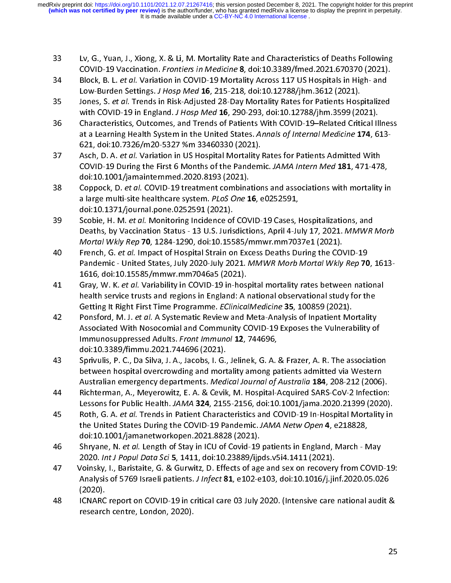- 33
- 
- 
- こうしょう こうこうこう こうこうこう こうこうこう こうこうしょう こうこうしょう こうこうしょう COVID-19 Vaccination. *Frontiers in Medicine* **8**, doi:10.3389/fmed.2021.670370 (2021).<br>
Block, B. L. et al. Variation in COVID-19 Mortality Across 117 US Hospitals in High- and<br>
Low-Burden Settings. *J Hosp Med* **16**, 21 EDOCK, B. L. et al. Variation. From COVID-19 Mortality Across 117 US Hopitals in High- and<br>Block, B. L. et al. Variation in COVID-19 Mortality Across 117 US Hospitals in High- and<br>Low-Burden Settings. J Hosp Med 16, 215-21 34 Blow-Burden Sethianor in Covi 12 More 16, 201218, 2021).<br>
35 Jones, S. et al. Trends in Risk-Adjusted 28-Day Mortality Rates for Patients Hospitalized<br>
26 With COVID-19 in England. *J Hosp Med* 16, 290-293, doi:10.12788 Low-Burden Settings. 3 Hosp Med 16, 213-218, doi:10:127607jhm.3512 (2021).<br>Jones, S. *et al.* Trends in Risk-Adjusted 28-Day Mortality Rates for Patients Hosp<br>with COVID-19 in England. J Hosp Med 16, 290-293, doi:10.12788/
- 
- 
- 35 Jones, S. et al. Tentas Musical 2020 (1913), The all and Adjusted 28-Day Montently Mates for Patients Inc. Coverage at a Learning Health System in the United States. Annals of Internal Medicine 174, 613-621, doi:10.732 With COVID-19 in England. *3 Thosp Med 16, 250-2553, doi.10.127886/jhm.3539 (2021).*<br>Characteristics, Outcomes, and Trends of Patients With COVID-19-Related Critical II<br>at a Learning Health System in the United States. Ann at a Learning Health System in the United States. Annals of Internal Medicine 174, 613-<br>
521, doi:10.7326/m20-5327 %m 33460330 (2021).<br>
Asch, D. A. et al. Variation in US Hospital Mortality Rates for Patients Admitted With at a canning relation 37826/m20-5327 %m 33460330 (2021).<br>
Asch, D. A. et al. Variation in US Hospital Mortality Rates for Patients Admitted With<br>
COVID-19 During the First 6 Months of the Pandemic. JAMA Intern Med 181, 471 The Match D. A. et al. Variation in US Hospital Mortality<br>COVID-19 During the First 6 Months of the Pandem<br>doi:10.1001/jamainternmed.2020.8193 (2021).<br>Coppock, D. et al. COVID-19 treatment combination<br>a large multi-site he SCOUD-19 During the First 6 Months of the Pandemic. JAMA Intern Med 181, 471-478<br>
doi:10.1001/jamainternmed.2020.8193 (2021).<br>
Scoppock, D. et al. COVID-19 treatment combinations and associations with mortality<br>
a large mu COVID-19 During the First 6 Months of the Talelamic. JAMA Internation doi:10.1001/janainernmed.2020.8193 (2021).<br>Coppock, D. *ie tal.* COVID-19 treatment combinations and associations with mortality ir<br>a large multi-site h Coppock, D. et al. COVID-19 treatment combina<br>a large multi-site healthcare system. *PLoS One* 1<br>doi:10.1371/journal.pone.0252591 (2021).<br>Scobie, H. M. et al. Monitoring Incidence of COV<br>Deaths, by Vaccination Status - 13 38 Coppock, D. et ari. Covid D. et al. Monitorius and associations with indicating in<br>a large multi-site healthcare system. PLOS One 16, e0252591,<br>doi:10.1371/journal.pone.0252591 (2021).<br>Scobie, H. M. *et al.* Monitoring
- 
- 
- a large multi-site healthcare system. *FLos One* 10, e0252591,<br>doi:10.1371/journal.pone.0252591 (2021).<br>Scobie, H. M. *et al.* Monitoring Incidence of COVID-19 Cases, I<br>Deaths, by Vaccination Status 13 U.S. Jurisdictions Scobie, H. M. *et al.* Monitoring Incidence of<br>Deaths, by Vaccination Status - 13 U.S. Juris<br>*Mortal Wkly Rep* **70**, 1284-1290, doi:10.155<br>French, G. *et al.* Impact of Hospital Strain or<br>Pandemic - United States, July 202 39 Scotter, H. W. et al. Monitoring metrodence of COVID-19 Expose, Hospitalizations, And Mortal Wkly Rep 70, 1284-1290, doi:10.15585/mmwr.mm7037e1 (2021).<br>
Anortal Wkly Rep 70, 1284-1290, doi:10.15585/mmwr.mm7037e1 (2021). Deaths, by vaccination Status - 13 U.S. Jurisdictions, April 7-July 17, 2021.<br>
Mortal Wkly Rep 70, 1284-1290, doi:10.15585/mmwr.mm7037e1 (2021).<br>
French, G. et al. Impact of Hospital Strain on Excess Deaths During the COVI Mortal Wkly Rep 70, 1284-1250, doi:10.15585/mmwl.mm17037e1 (2021).<br>French, G. *et al.* Impact of Hospital Strain on Excess Deaths During the COV<br>Pandemic - United States, July 2020-July 2021. *MMWR Morb Mortal Wkly*<br>1616, French, G. et al. Impact or Inseption 2021. MMWR Morb Mortal Wkly Rep 70<br>
Pandemic - United States, July 2020-July 2021. MMWR Morb Mortal Wkly Rep 70<br>
1616, doi:10.15585/mmwr.mm7046a5 (2021).<br>
Gray, W. K. et al. Variabilit rancemic United States, July 2020 5 July 2021. Minimi Morial Whole Morial Wkly Rep 70, 1013-<br>1616, doi:10.15585/mmwr.mm7046a5 (2021).<br>Gray, W. K. et al. Variability in COVID-19 in-hospital mortality rates between national<br> 1111, W. K. *et al.* Variability in COVID-19 in-host<br>
health service trusts and regions in England: A<br>
Getting It Right First Time Programme. *EClinica*.<br>
Ponsford, M. J. *et al.* A Systematic Review and I<br>
Associated With 41 Gray, W. K. et al. Variability in COVID-15 Inclosural mortality rates between matchinary rates that is evident is evident in Equipment Clinical Medicine 35, 100859 (2021).<br>
42 Ponsford, M. J. et al. A Systematic Review Getting It Right First Time Programme. *EClinicalMedicine* **35**, 100859 (2021).<br>Ponsford, M. J. *et al.* A Systematic Review and Meta-Analysis of Inpatient Mortality<br>Associated With Nosocomial and Community COVID-19 Expose Bonsford, M. J. et al. A Systematic Review and Meta-Analysis of Inpatient Mo<br>Associated With Nosocomial and Community COVID-19 Exposes the Vulneral<br>Immunosuppressed Adults. *Front Immunol* 12, 744696,<br>doi:10.3389/fimmu.202 42 Ponsiolid, W.H. S. et al. A systematic Review and Webca-Analysis of inpatient Mortality<br>Associated With Nosocomial and Community COVID-19 Exposes the Vulnerability of<br>Immunosuppressed Adults. *Front* Immunol 12, 744696,
- Immunosuppressed Adults. *Front Immunol* **12**, 744696,<br>doi:10.3389/fimmu.2021.744696 (2021).<br>Sprivulis, P. C., Da Silva, J. A., Jacobs, I. G., Jelinek, G. A. & Frazer, A. R. The associatio<br>between hospital overcrowding and minianosappressed Addits. Front *immunor* 12, 744696,<br>doi:10.3389/fimmu.2021.744696 (2021).<br>Sprivulis, P. C., Da Silva, J. A., Jacobs, I. G., Jelinek, G. A.<br>between hospital overcrowding and mortality among pa<br>Australian e
- 
- 
- 
- Sprivulis, P. C., Da Silva, J. A., Jacobs, I. G.,<br>Sprivulis, P. C., Da Silva, J. A., Jacobs, I. G.,<br>between hospital overcrowding and mort<br>Australian emergency departments. *Medi*<br>Richterman, A., Meyerowitz, E. A. & Cevik<br> between hospital overcrowding and mortality among patients admitted via Western<br>Australian emergency departments. Medical Journal of Australia **184**, 208-212 (2006).<br>Richterman, A., Meyerowitz, E. A. & Cevik, M. Hospital-A Australian emergency departments. *Medical Journal of Australia* **184**, 208-212 (2006)<br>Richterman, A., Meyerowitz, E. A. & Cevik, M. Hospital-Acquired SARS-CoV-2 Infectio<br>Lessons for Public Health. JAMA **324**, 2155-2156, d Australian emergency departments. Medical Australia Journal of Australia (1848-CoV-2 Infection, Richterman, A., Meyrowitz, E. A. & Cevik, M. Hospital-Acquired SARS-CoV-2 Infection.<br>Lessons for Public Health. JAMA 324, 2155 Lessons for Public Health. JAMA 324, 2155-2156, doi:10.1001/jama.2020.21399 (2020).<br>
Roth, G. A. et al. Trends in Patient Characteristics and COVID-19 In-Hospital Mortality in<br>
the United States During the COVID-19 Pandemi Lessons for Faund Health. JAMA 324, 2155-2156, doi.10.1001/jama.2020.21399 (2020).<br>
Roth, G. A. et al. Trends in Patient Characteristics and COVID-19 In-Hospital Mortality in<br>
the United States During the COVID-19 Pandemic 45 Roth, G. A. et al. Length of COVID-19 Pandemic. JAMA Netw Open 4, e218828,<br>doi:10.1001/jamanetworkopen.2021.8828 (2021).<br>46 doi:10.1001/jamanetworkopen.2021.8828 (2021).<br>5hryane, N. et al. Length of Stay in ICU of Covid the Onted States During the COVID-19 IS and COVID-19 patients. Shink netw Open 4, e216026,<br>doi:10.1001/jamanetworkopen.2021.8828 (2021).<br>Shryane, N. *et al.* Length of Stay in ICU of Covid-19 patients in England, March - N Shryane, N. *et al*. Length of Stay in ICU of Covid-19<br>2020. *Int J Popul Data Sci* 5, 1411, doi:10.23889/jjp<br>/oinsky, I., Baristaite, G. & Gurwitz, D. Effects of age<br>Analysis of 5769 Israeli patients. *J Infect* 81, e102-46 Shryane, W. et al. Length of Stay in Co of Covid-19 patients in England, March - May<br>2020. Int J Popul Data Sci 5, 1411, doi:10.23889/ijpds.v5i4.1411 (2021).<br>Voinsky, I., Baristaite, G. & Gurwitz, D. Effects of age and 2020. *Int J Popul Data Sci 5, 1411*, doi:10.238897ijpus.v514.1411 (2021).<br>/oinsky, l., Baristaite, G. & Gurwitz, D. Effects of age and sex on recovery<br>Analysis of 5769 Israeli patients. *J Infect* **81**, e102-e103, doi:10. Analysis of 5769 Israeli patients. *J Infect* 81, e102-e103, doi:10.1016/j.jinf.2020.05.026<br>(2020).<br>ICNARC report on COVID-19 in critical care 03 July 2020. (Intensive care national audit &<br>research centre, London, 2020).<br>
- Analysis of 5769 Israeli patients. J *Infect* 81, e102-e103, doi:10.1016/j.jinf.2020.05.026<br>(2020).<br>ICNARC report on COVID-19 in critical care 03 July 2020. (Intensive care national audit aresearch centre, London, 2020). (2020).<br>ICNARC<br>researcl Frame report on Corine 21 in critical care on Covid-19 in critical care national audit of the control care national audit of the control care national audit of the control care national audit of the control care national a research centre, London, 2020).